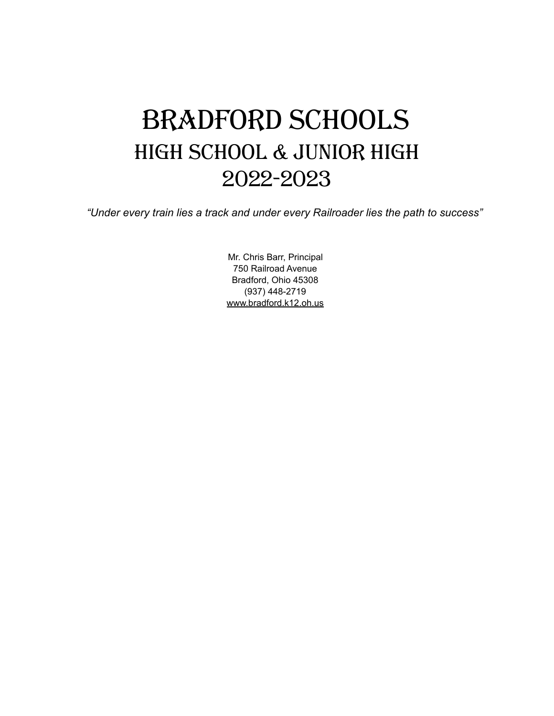# Bradford Schools High School & Junior High 2022-2023

*"Under every train lies a track and under every Railroader lies the path to success"*

Mr. Chris Barr, Principal 750 Railroad Avenue Bradford, Ohio 45308 (937) 448-2719 [www.bradford.k12.oh.us](http://www.bradford.k12.oh.us/)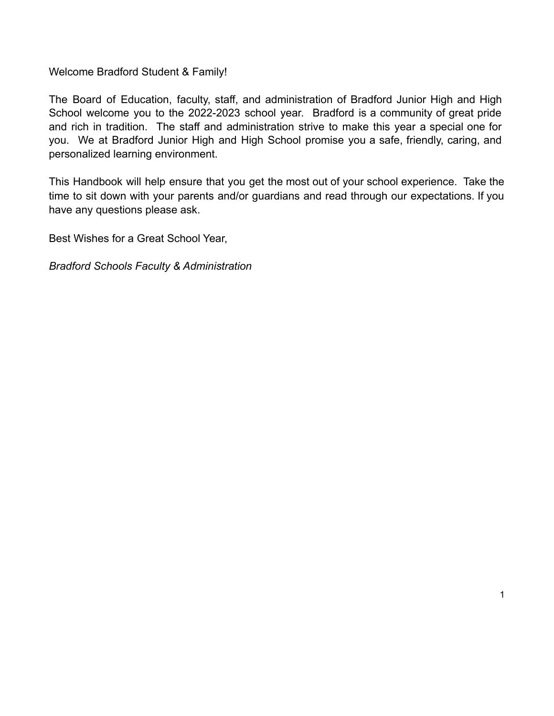Welcome Bradford Student & Family!

The Board of Education, faculty, staff, and administration of Bradford Junior High and High School welcome you to the 2022-2023 school year. Bradford is a community of great pride and rich in tradition. The staff and administration strive to make this year a special one for you. We at Bradford Junior High and High School promise you a safe, friendly, caring, and personalized learning environment.

This Handbook will help ensure that you get the most out of your school experience. Take the time to sit down with your parents and/or guardians and read through our expectations. If you have any questions please ask.

1

Best Wishes for a Great School Year,

*Bradford Schools Faculty & Administration*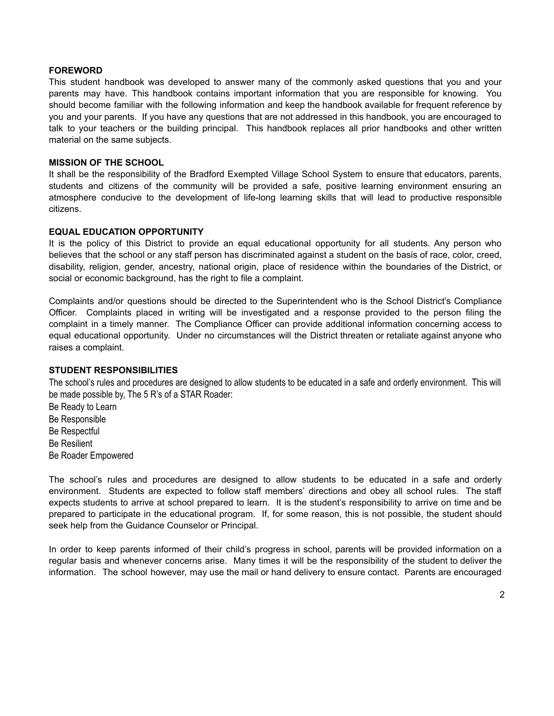#### **FOREWORD**

This student handbook was developed to answer many of the commonly asked questions that you and your parents may have. This handbook contains important information that you are responsible for knowing. You should become familiar with the following information and keep the handbook available for frequent reference by you and your parents. If you have any questions that are not addressed in this handbook, you are encouraged to talk to your teachers or the building principal. This handbook replaces all prior handbooks and other written material on the same subjects.

#### **MISSION OF THE SCHOOL**

It shall be the responsibility of the Bradford Exempted Village School System to ensure that educators, parents, students and citizens of the community will be provided a safe, positive learning environment ensuring an atmosphere conducive to the development of life-long learning skills that will lead to productive responsible citizens.

#### **EQUAL EDUCATION OPPORTUNITY**

It is the policy of this District to provide an equal educational opportunity for all students. Any person who believes that the school or any staff person has discriminated against a student on the basis of race, color, creed, disability, religion, gender, ancestry, national origin, place of residence within the boundaries of the District, or social or economic background, has the right to file a complaint.

Complaints and/or questions should be directed to the Superintendent who is the School District's Compliance Officer. Complaints placed in writing will be investigated and a response provided to the person filing the complaint in a timely manner. The Compliance Officer can provide additional information concerning access to equal educational opportunity. Under no circumstances will the District threaten or retaliate against anyone who raises a complaint.

#### **STUDENT RESPONSIBILITIES**

The school's rules and procedures are designed to allow students to be educated in a safe and orderly environment. This will be made possible by, The 5 R's of a STAR Roader:

Be Ready to Learn Be Responsible Be Respectful Be Resilient Be Roader Empowered

The school's rules and procedures are designed to allow students to be educated in a safe and orderly environment. Students are expected to follow staff members' directions and obey all school rules. The staff expects students to arrive at school prepared to learn. It is the student's responsibility to arrive on time and be prepared to participate in the educational program. If, for some reason, this is not possible, the student should seek help from the Guidance Counselor or Principal.

In order to keep parents informed of their child's progress in school, parents will be provided information on a regular basis and whenever concerns arise. Many times it will be the responsibility of the student to deliver the information. The school however, may use the mail or hand delivery to ensure contact. Parents are encouraged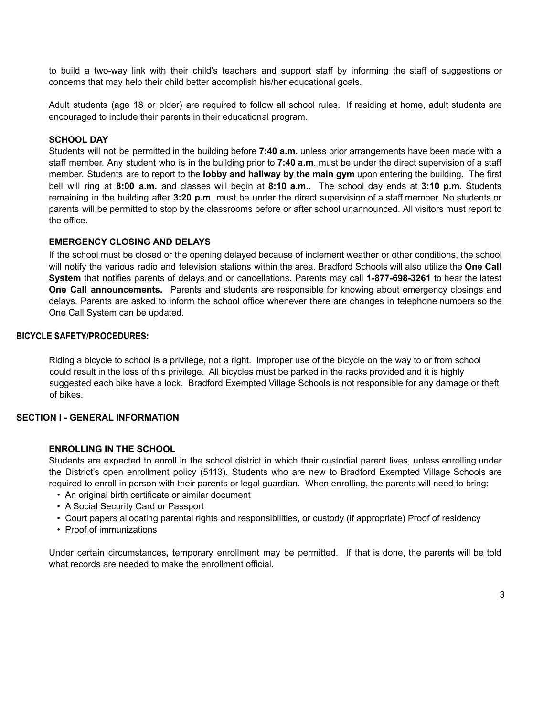to build a two-way link with their child's teachers and support staff by informing the staff of suggestions or concerns that may help their child better accomplish his/her educational goals.

Adult students (age 18 or older) are required to follow all school rules. If residing at home, adult students are encouraged to include their parents in their educational program.

# **SCHOOL DAY**

Students will not be permitted in the building before **7:40 a.m.** unless prior arrangements have been made with a staff member. Any student who is in the building prior to **7:40 a.m**. must be under the direct supervision of a staff member. Students are to report to the **lobby and hallway by the main gym** upon entering the building. The first bell will ring at **8:00 a.m.** and classes will begin at **8:10 a.m.**. The school day ends at **3:10 p.m.** Students remaining in the building after **3:20 p.m**. must be under the direct supervision of a staff member. No students or parents will be permitted to stop by the classrooms before or after school unannounced. All visitors must report to the office.

#### **EMERGENCY CLOSING AND DELAYS**

If the school must be closed or the opening delayed because of inclement weather or other conditions, the school will notify the various radio and television stations within the area. Bradford Schools will also utilize the **One Call System** that notifies parents of delays and or cancellations. Parents may call **1-877-698-3261** to hear the latest **One Call announcements.** Parents and students are responsible for knowing about emergency closings and delays. Parents are asked to inform the school office whenever there are changes in telephone numbers so the One Call System can be updated.

#### **BICYCLE SAFETY/PROCEDURES:**

Riding a bicycle to school is a privilege, not a right. Improper use of the bicycle on the way to or from school could result in the loss of this privilege. All bicycles must be parked in the racks provided and it is highly suggested each bike have a lock. Bradford Exempted Village Schools is not responsible for any damage or theft of bikes.

# **SECTION I - GENERAL INFORMATION**

#### **ENROLLING IN THE SCHOOL**

Students are expected to enroll in the school district in which their custodial parent lives, unless enrolling under the District's open enrollment policy (5113). Students who are new to Bradford Exempted Village Schools are required to enroll in person with their parents or legal guardian. When enrolling, the parents will need to bring:

- An original birth certificate or similar document
- A Social Security Card or Passport
- Court papers allocating parental rights and responsibilities, or custody (if appropriate) Proof of residency
- Proof of immunizations

Under certain circumstances**,** temporary enrollment may be permitted. If that is done, the parents will be told what records are needed to make the enrollment official.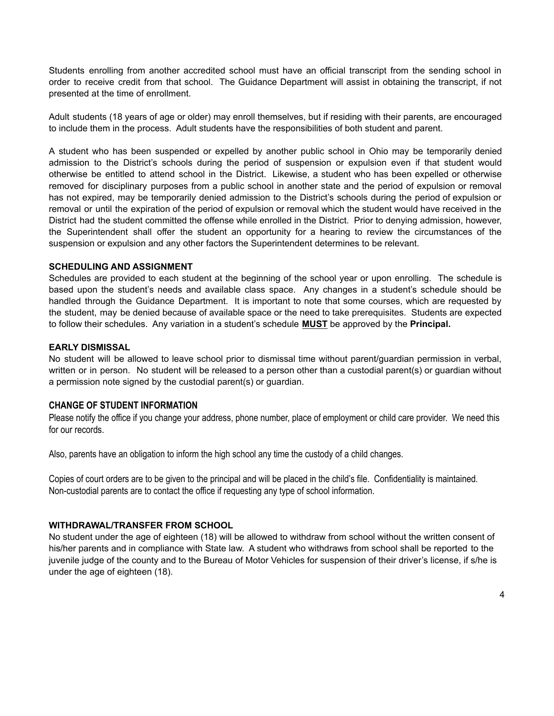Students enrolling from another accredited school must have an official transcript from the sending school in order to receive credit from that school. The Guidance Department will assist in obtaining the transcript, if not presented at the time of enrollment.

Adult students (18 years of age or older) may enroll themselves, but if residing with their parents, are encouraged to include them in the process. Adult students have the responsibilities of both student and parent.

A student who has been suspended or expelled by another public school in Ohio may be temporarily denied admission to the District's schools during the period of suspension or expulsion even if that student would otherwise be entitled to attend school in the District. Likewise, a student who has been expelled or otherwise removed for disciplinary purposes from a public school in another state and the period of expulsion or removal has not expired, may be temporarily denied admission to the District's schools during the period of expulsion or removal or until the expiration of the period of expulsion or removal which the student would have received in the District had the student committed the offense while enrolled in the District. Prior to denying admission, however, the Superintendent shall offer the student an opportunity for a hearing to review the circumstances of the suspension or expulsion and any other factors the Superintendent determines to be relevant.

#### **SCHEDULING AND ASSIGNMENT**

Schedules are provided to each student at the beginning of the school year or upon enrolling. The schedule is based upon the student's needs and available class space. Any changes in a student's schedule should be handled through the Guidance Department. It is important to note that some courses, which are requested by the student, may be denied because of available space or the need to take prerequisites. Students are expected to follow their schedules. Any variation in a student's schedule **MUST** be approved by the **Principal.**

#### **EARLY DISMISSAL**

No student will be allowed to leave school prior to dismissal time without parent/guardian permission in verbal, written or in person. No student will be released to a person other than a custodial parent(s) or guardian without a permission note signed by the custodial parent(s) or guardian.

# **CHANGE OF STUDENT INFORMATION**

Please notify the office if you change your address, phone number, place of employment or child care provider. We need this for our records.

Also, parents have an obligation to inform the high school any time the custody of a child changes.

Copies of court orders are to be given to the principal and will be placed in the child's file. Confidentiality is maintained. Non-custodial parents are to contact the office if requesting any type of school information.

#### **WITHDRAWAL/TRANSFER FROM SCHOOL**

No student under the age of eighteen (18) will be allowed to withdraw from school without the written consent of his/her parents and in compliance with State law. A student who withdraws from school shall be reported to the juvenile judge of the county and to the Bureau of Motor Vehicles for suspension of their driver's license, if s/he is under the age of eighteen (18).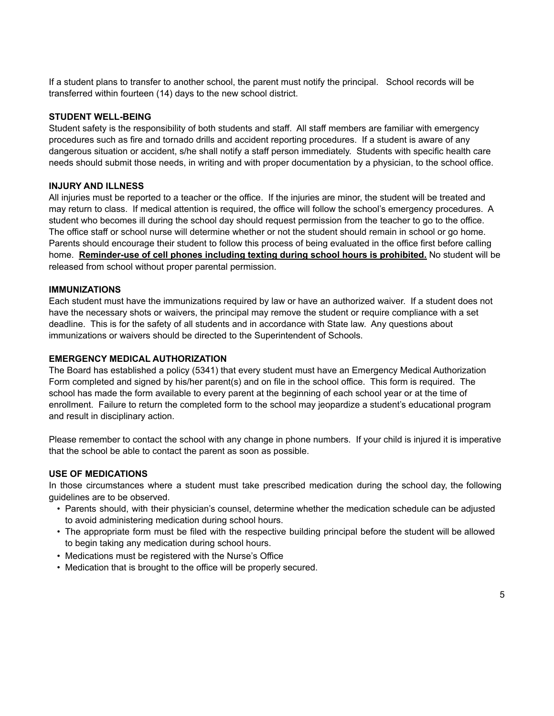If a student plans to transfer to another school, the parent must notify the principal. School records will be transferred within fourteen (14) days to the new school district.

#### **STUDENT WELL-BEING**

Student safety is the responsibility of both students and staff. All staff members are familiar with emergency procedures such as fire and tornado drills and accident reporting procedures. If a student is aware of any dangerous situation or accident, s/he shall notify a staff person immediately. Students with specific health care needs should submit those needs, in writing and with proper documentation by a physician, to the school office.

#### **INJURY AND ILLNESS**

All injuries must be reported to a teacher or the office. If the injuries are minor, the student will be treated and may return to class. If medical attention is required, the office will follow the school's emergency procedures. A student who becomes ill during the school day should request permission from the teacher to go to the office. The office staff or school nurse will determine whether or not the student should remain in school or go home. Parents should encourage their student to follow this process of being evaluated in the office first before calling home. **Reminder-use of cell phones including texting during school hours is prohibited.** No student will be released from school without proper parental permission.

#### **IMMUNIZATIONS**

Each student must have the immunizations required by law or have an authorized waiver. If a student does not have the necessary shots or waivers, the principal may remove the student or require compliance with a set deadline. This is for the safety of all students and in accordance with State law. Any questions about immunizations or waivers should be directed to the Superintendent of Schools.

#### **EMERGENCY MEDICAL AUTHORIZATION**

The Board has established a policy (5341) that every student must have an Emergency Medical Authorization Form completed and signed by his/her parent(s) and on file in the school office. This form is required. The school has made the form available to every parent at the beginning of each school year or at the time of enrollment. Failure to return the completed form to the school may jeopardize a student's educational program and result in disciplinary action.

Please remember to contact the school with any change in phone numbers. If your child is injured it is imperative that the school be able to contact the parent as soon as possible.

# **USE OF MEDICATIONS**

In those circumstances where a student must take prescribed medication during the school day, the following guidelines are to be observed.

- Parents should, with their physician's counsel, determine whether the medication schedule can be adjusted to avoid administering medication during school hours.
- The appropriate form must be filed with the respective building principal before the student will be allowed to begin taking any medication during school hours.
- Medications must be registered with the Nurse's Office
- Medication that is brought to the office will be properly secured.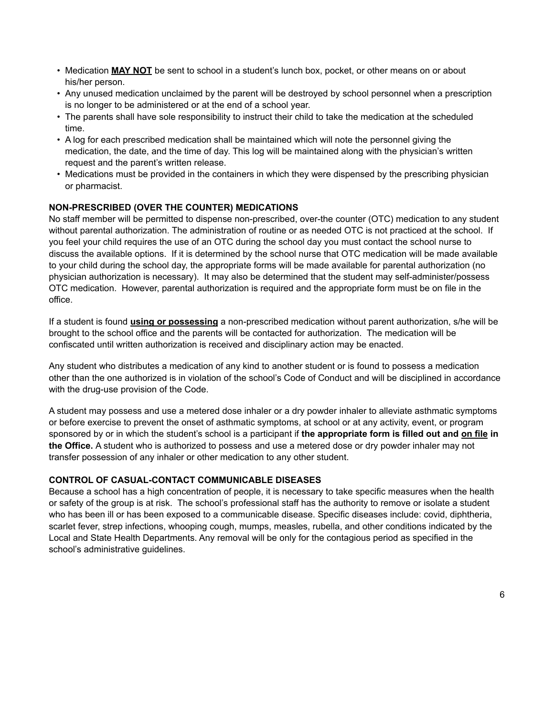- Medication **MAY NOT** be sent to school in a student's lunch box, pocket, or other means on or about his/her person.
- Any unused medication unclaimed by the parent will be destroyed by school personnel when a prescription is no longer to be administered or at the end of a school year.
- The parents shall have sole responsibility to instruct their child to take the medication at the scheduled time.
- A log for each prescribed medication shall be maintained which will note the personnel giving the medication, the date, and the time of day. This log will be maintained along with the physician's written request and the parent's written release.
- Medications must be provided in the containers in which they were dispensed by the prescribing physician or pharmacist.

# **NON-PRESCRIBED (OVER THE COUNTER) MEDICATIONS**

No staff member will be permitted to dispense non-prescribed, over-the counter (OTC) medication to any student without parental authorization. The administration of routine or as needed OTC is not practiced at the school. If you feel your child requires the use of an OTC during the school day you must contact the school nurse to discuss the available options. If it is determined by the school nurse that OTC medication will be made available to your child during the school day, the appropriate forms will be made available for parental authorization (no physician authorization is necessary). It may also be determined that the student may self-administer/possess OTC medication. However, parental authorization is required and the appropriate form must be on file in the office.

If a student is found **using or possessing** a non-prescribed medication without parent authorization, s/he will be brought to the school office and the parents will be contacted for authorization. The medication will be confiscated until written authorization is received and disciplinary action may be enacted.

Any student who distributes a medication of any kind to another student or is found to possess a medication other than the one authorized is in violation of the school's Code of Conduct and will be disciplined in accordance with the drug-use provision of the Code.

A student may possess and use a metered dose inhaler or a dry powder inhaler to alleviate asthmatic symptoms or before exercise to prevent the onset of asthmatic symptoms, at school or at any activity, event, or program sponsored by or in which the student's school is a participant if **the appropriate form is filled out and on file in the Office.** A student who is authorized to possess and use a metered dose or dry powder inhaler may not transfer possession of any inhaler or other medication to any other student.

# **CONTROL OF CASUAL-CONTACT COMMUNICABLE DISEASES**

Because a school has a high concentration of people, it is necessary to take specific measures when the health or safety of the group is at risk. The school's professional staff has the authority to remove or isolate a student who has been ill or has been exposed to a communicable disease. Specific diseases include: covid, diphtheria, scarlet fever, strep infections, whooping cough, mumps, measles, rubella, and other conditions indicated by the Local and State Health Departments. Any removal will be only for the contagious period as specified in the school's administrative guidelines.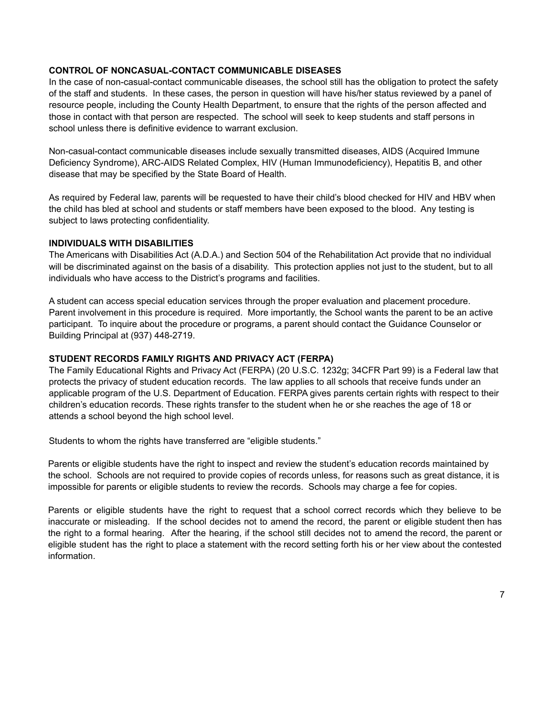#### **CONTROL OF NONCASUAL-CONTACT COMMUNICABLE DISEASES**

In the case of non-casual-contact communicable diseases, the school still has the obligation to protect the safety of the staff and students. In these cases, the person in question will have his/her status reviewed by a panel of resource people, including the County Health Department, to ensure that the rights of the person affected and those in contact with that person are respected. The school will seek to keep students and staff persons in school unless there is definitive evidence to warrant exclusion.

Non-casual-contact communicable diseases include sexually transmitted diseases, AIDS (Acquired Immune Deficiency Syndrome), ARC-AIDS Related Complex, HIV (Human Immunodeficiency), Hepatitis B, and other disease that may be specified by the State Board of Health.

As required by Federal law, parents will be requested to have their child's blood checked for HIV and HBV when the child has bled at school and students or staff members have been exposed to the blood. Any testing is subject to laws protecting confidentiality.

#### **INDIVIDUALS WITH DISABILITIES**

The Americans with Disabilities Act (A.D.A.) and Section 504 of the Rehabilitation Act provide that no individual will be discriminated against on the basis of a disability. This protection applies not just to the student, but to all individuals who have access to the District's programs and facilities.

A student can access special education services through the proper evaluation and placement procedure. Parent involvement in this procedure is required. More importantly, the School wants the parent to be an active participant. To inquire about the procedure or programs, a parent should contact the Guidance Counselor or Building Principal at (937) 448-2719.

#### **STUDENT RECORDS FAMILY RIGHTS AND PRIVACY ACT (FERPA)**

The Family Educational Rights and Privacy Act (FERPA) (20 U.S.C. 1232g; 34CFR Part 99) is a Federal law that protects the privacy of student education records. The law applies to all schools that receive funds under an applicable program of the U.S. Department of Education. FERPA gives parents certain rights with respect to their children's education records. These rights transfer to the student when he or she reaches the age of 18 or attends a school beyond the high school level.

Students to whom the rights have transferred are "eligible students."

Parents or eligible students have the right to inspect and review the student's education records maintained by the school. Schools are not required to provide copies of records unless, for reasons such as great distance, it is impossible for parents or eligible students to review the records. Schools may charge a fee for copies.

Parents or eligible students have the right to request that a school correct records which they believe to be inaccurate or misleading. If the school decides not to amend the record, the parent or eligible student then has the right to a formal hearing. After the hearing, if the school still decides not to amend the record, the parent or eligible student has the right to place a statement with the record setting forth his or her view about the contested information.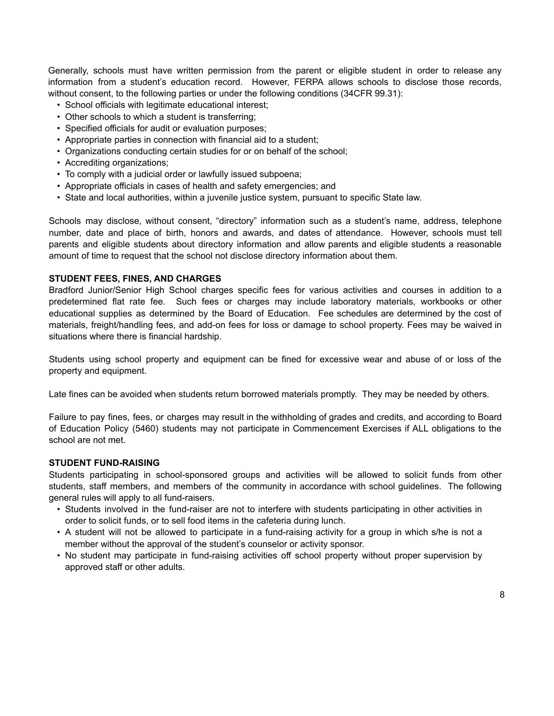Generally, schools must have written permission from the parent or eligible student in order to release any information from a student's education record. However, FERPA allows schools to disclose those records, without consent, to the following parties or under the following conditions (34CFR 99.31):

- School officials with legitimate educational interest;
- Other schools to which a student is transferring;
- Specified officials for audit or evaluation purposes;
- Appropriate parties in connection with financial aid to a student;
- Organizations conducting certain studies for or on behalf of the school;
- Accrediting organizations;
- To comply with a judicial order or lawfully issued subpoena;
- Appropriate officials in cases of health and safety emergencies; and
- State and local authorities, within a juvenile justice system, pursuant to specific State law.

Schools may disclose, without consent, "directory" information such as a student's name, address, telephone number, date and place of birth, honors and awards, and dates of attendance. However, schools must tell parents and eligible students about directory information and allow parents and eligible students a reasonable amount of time to request that the school not disclose directory information about them.

#### **STUDENT FEES, FINES, AND CHARGES**

Bradford Junior/Senior High School charges specific fees for various activities and courses in addition to a predetermined flat rate fee. Such fees or charges may include laboratory materials, workbooks or other educational supplies as determined by the Board of Education. Fee schedules are determined by the cost of materials, freight/handling fees, and add-on fees for loss or damage to school property. Fees may be waived in situations where there is financial hardship.

Students using school property and equipment can be fined for excessive wear and abuse of or loss of the property and equipment.

Late fines can be avoided when students return borrowed materials promptly. They may be needed by others.

Failure to pay fines, fees, or charges may result in the withholding of grades and credits, and according to Board of Education Policy (5460) students may not participate in Commencement Exercises if ALL obligations to the school are not met.

#### **STUDENT FUND-RAISING**

Students participating in school-sponsored groups and activities will be allowed to solicit funds from other students, staff members, and members of the community in accordance with school guidelines. The following general rules will apply to all fund-raisers.

- Students involved in the fund-raiser are not to interfere with students participating in other activities in order to solicit funds, or to sell food items in the cafeteria during lunch.
- A student will not be allowed to participate in a fund-raising activity for a group in which s/he is not a member without the approval of the student's counselor or activity sponsor.
- No student may participate in fund-raising activities off school property without proper supervision by approved staff or other adults.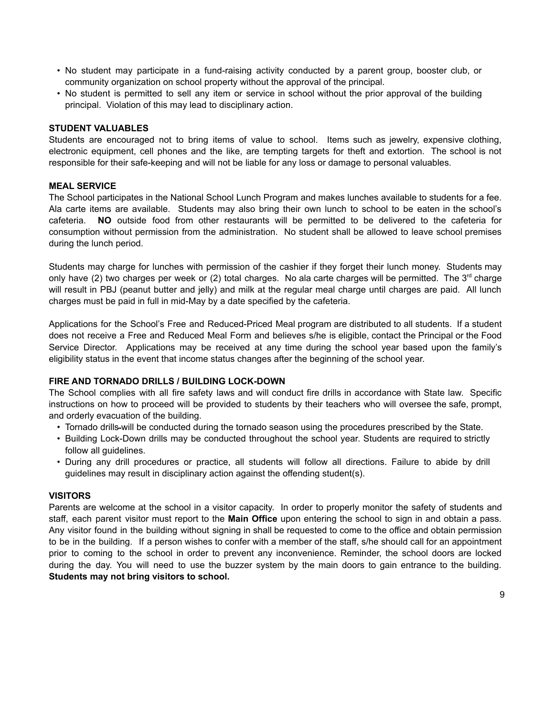- No student may participate in a fund-raising activity conducted by a parent group, booster club, or community organization on school property without the approval of the principal.
- No student is permitted to sell any item or service in school without the prior approval of the building principal. Violation of this may lead to disciplinary action.

#### **STUDENT VALUABLES**

Students are encouraged not to bring items of value to school. Items such as jewelry, expensive clothing, electronic equipment, cell phones and the like, are tempting targets for theft and extortion. The school is not responsible for their safe-keeping and will not be liable for any loss or damage to personal valuables.

#### **MEAL SERVICE**

The School participates in the National School Lunch Program and makes lunches available to students for a fee. Ala carte items are available. Students may also bring their own lunch to school to be eaten in the school's cafeteria. **NO** outside food from other restaurants will be permitted to be delivered to the cafeteria for consumption without permission from the administration. No student shall be allowed to leave school premises during the lunch period.

Students may charge for lunches with permission of the cashier if they forget their lunch money. Students may only have (2) two charges per week or (2) total charges. No ala carte charges will be permitted. The 3<sup>rd</sup> charge will result in PBJ (peanut butter and jelly) and milk at the regular meal charge until charges are paid. All lunch charges must be paid in full in mid-May by a date specified by the cafeteria.

Applications for the School's Free and Reduced-Priced Meal program are distributed to all students. If a student does not receive a Free and Reduced Meal Form and believes s/he is eligible, contact the Principal or the Food Service Director. Applications may be received at any time during the school year based upon the family's eligibility status in the event that income status changes after the beginning of the school year.

#### **FIRE AND TORNADO DRILLS / BUILDING LOCK-DOWN**

The School complies with all fire safety laws and will conduct fire drills in accordance with State law. Specific instructions on how to proceed will be provided to students by their teachers who will oversee the safe, prompt, and orderly evacuation of the building.

- Tornado drills-will be conducted during the tornado season using the procedures prescribed by the State.
- Building Lock-Down drills may be conducted throughout the school year. Students are required to strictly follow all guidelines.
- During any drill procedures or practice, all students will follow all directions. Failure to abide by drill guidelines may result in disciplinary action against the offending student(s).

#### **VISITORS**

Parents are welcome at the school in a visitor capacity. In order to properly monitor the safety of students and staff, each parent visitor must report to the **Main Office** upon entering the school to sign in and obtain a pass. Any visitor found in the building without signing in shall be requested to come to the office and obtain permission to be in the building. If a person wishes to confer with a member of the staff, s/he should call for an appointment prior to coming to the school in order to prevent any inconvenience. Reminder, the school doors are locked during the day. You will need to use the buzzer system by the main doors to gain entrance to the building. **Students may not bring visitors to school.**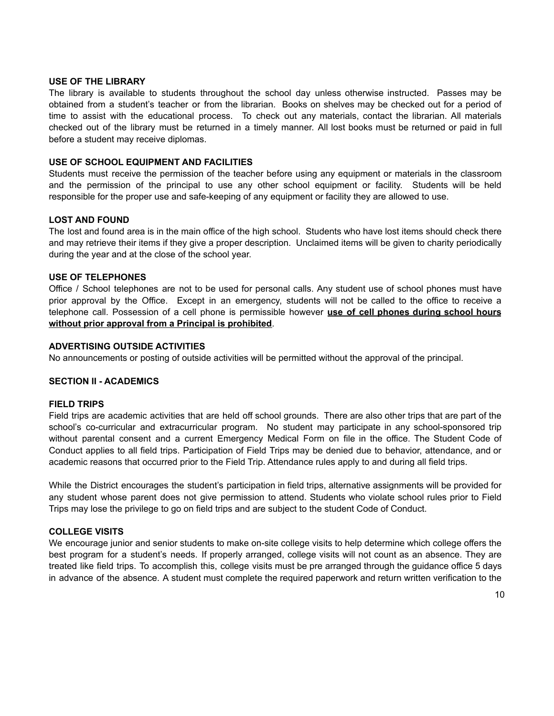#### **USE OF THE LIBRARY**

The library is available to students throughout the school day unless otherwise instructed. Passes may be obtained from a student's teacher or from the librarian. Books on shelves may be checked out for a period of time to assist with the educational process. To check out any materials, contact the librarian. All materials checked out of the library must be returned in a timely manner. All lost books must be returned or paid in full before a student may receive diplomas.

#### **USE OF SCHOOL EQUIPMENT AND FACILITIES**

Students must receive the permission of the teacher before using any equipment or materials in the classroom and the permission of the principal to use any other school equipment or facility. Students will be held responsible for the proper use and safe-keeping of any equipment or facility they are allowed to use.

#### **LOST AND FOUND**

The lost and found area is in the main office of the high school. Students who have lost items should check there and may retrieve their items if they give a proper description. Unclaimed items will be given to charity periodically during the year and at the close of the school year.

#### **USE OF TELEPHONES**

Office / School telephones are not to be used for personal calls. Any student use of school phones must have prior approval by the Office. Except in an emergency, students will not be called to the office to receive a telephone call. Possession of a cell phone is permissible however **use of cell phones during school hours without prior approval from a Principal is prohibited**.

#### **ADVERTISING OUTSIDE ACTIVITIES**

No announcements or posting of outside activities will be permitted without the approval of the principal.

#### **SECTION II - ACADEMICS**

#### **FIELD TRIPS**

Field trips are academic activities that are held off school grounds. There are also other trips that are part of the school's co-curricular and extracurricular program. No student may participate in any school-sponsored trip without parental consent and a current Emergency Medical Form on file in the office. The Student Code of Conduct applies to all field trips. Participation of Field Trips may be denied due to behavior, attendance, and or academic reasons that occurred prior to the Field Trip. Attendance rules apply to and during all field trips.

While the District encourages the student's participation in field trips, alternative assignments will be provided for any student whose parent does not give permission to attend. Students who violate school rules prior to Field Trips may lose the privilege to go on field trips and are subject to the student Code of Conduct.

#### **COLLEGE VISITS**

We encourage junior and senior students to make on-site college visits to help determine which college offers the best program for a student's needs. If properly arranged, college visits will not count as an absence. They are treated like field trips. To accomplish this, college visits must be pre arranged through the guidance office 5 days in advance of the absence. A student must complete the required paperwork and return written verification to the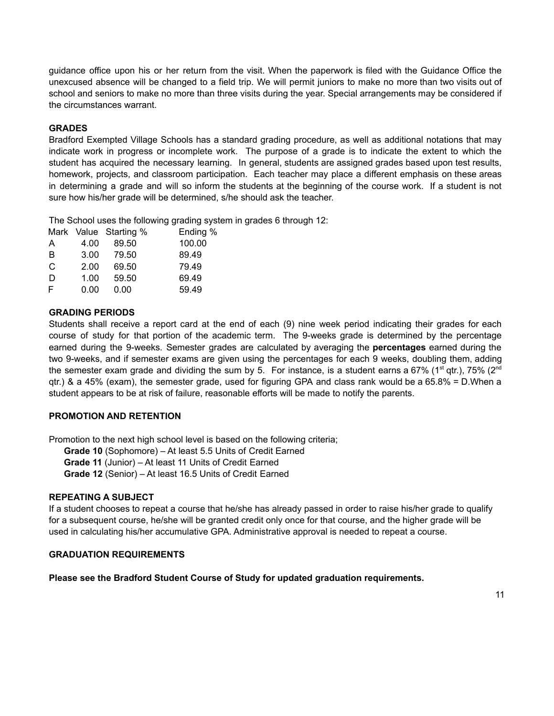guidance office upon his or her return from the visit. When the paperwork is filed with the Guidance Office the unexcused absence will be changed to a field trip. We will permit juniors to make no more than two visits out of school and seniors to make no more than three visits during the year. Special arrangements may be considered if the circumstances warrant.

# **GRADES**

Bradford Exempted Village Schools has a standard grading procedure, as well as additional notations that may indicate work in progress or incomplete work. The purpose of a grade is to indicate the extent to which the student has acquired the necessary learning. In general, students are assigned grades based upon test results, homework, projects, and classroom participation. Each teacher may place a different emphasis on these areas in determining a grade and will so inform the students at the beginning of the course work. If a student is not sure how his/her grade will be determined, s/he should ask the teacher.

The School uses the following grading system in grades 6 through 12:

|      |       | Ending %              |
|------|-------|-----------------------|
| 4.00 | 89.50 | 100.00                |
| 3.00 | 79.50 | 89.49                 |
| 2.00 | 69.50 | 79.49                 |
| 1.00 | 59.50 | 69.49                 |
| 0.00 | 0.00  | 59.49                 |
|      |       | Mark Value Starting % |

#### **GRADING PERIODS**

Students shall receive a report card at the end of each (9) nine week period indicating their grades for each course of study for that portion of the academic term. The 9-weeks grade is determined by the percentage earned during the 9-weeks. Semester grades are calculated by averaging the **percentages** earned during the two 9-weeks, and if semester exams are given using the percentages for each 9 weeks, doubling them, adding the semester exam grade and dividing the sum by 5. For instance, is a student earns a 67% (1<sup>st</sup> qtr.), 75% (2<sup>nd</sup> qtr.) & a 45% (exam), the semester grade, used for figuring GPA and class rank would be a 65.8% = D.When a student appears to be at risk of failure, reasonable efforts will be made to notify the parents.

# **PROMOTION AND RETENTION**

Promotion to the next high school level is based on the following criteria;

**Grade 10** (Sophomore) – At least 5.5 Units of Credit Earned

**Grade 11** (Junior) – At least 11 Units of Credit Earned

**Grade 12** (Senior) – At least 16.5 Units of Credit Earned

# **REPEATING A SUBJECT**

If a student chooses to repeat a course that he/she has already passed in order to raise his/her grade to qualify for a subsequent course, he/she will be granted credit only once for that course, and the higher grade will be used in calculating his/her accumulative GPA. Administrative approval is needed to repeat a course.

#### **GRADUATION REQUIREMENTS**

**Please see the Bradford Student Course of Study for updated graduation requirements.**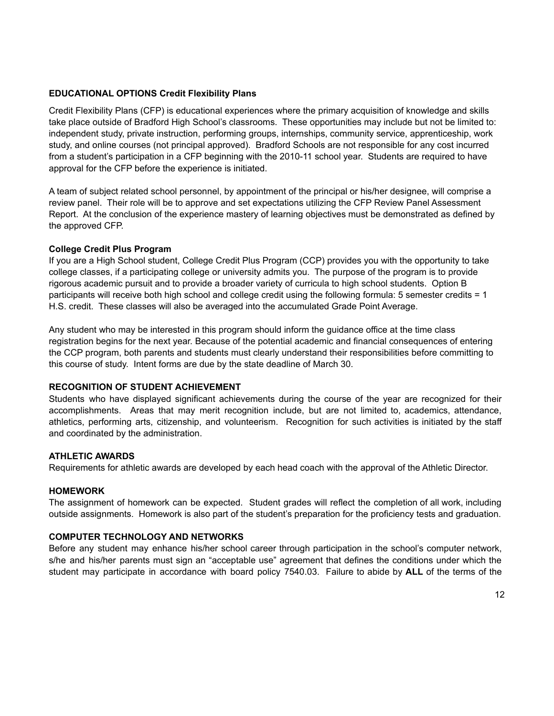#### **EDUCATIONAL OPTIONS Credit Flexibility Plans**

Credit Flexibility Plans (CFP) is educational experiences where the primary acquisition of knowledge and skills take place outside of Bradford High School's classrooms. These opportunities may include but not be limited to: independent study, private instruction, performing groups, internships, community service, apprenticeship, work study, and online courses (not principal approved). Bradford Schools are not responsible for any cost incurred from a student's participation in a CFP beginning with the 2010-11 school year. Students are required to have approval for the CFP before the experience is initiated.

A team of subject related school personnel, by appointment of the principal or his/her designee, will comprise a review panel. Their role will be to approve and set expectations utilizing the CFP Review Panel Assessment Report. At the conclusion of the experience mastery of learning objectives must be demonstrated as defined by the approved CFP.

#### **College Credit Plus Program**

If you are a High School student, College Credit Plus Program (CCP) provides you with the opportunity to take college classes, if a participating college or university admits you. The purpose of the program is to provide rigorous academic pursuit and to provide a broader variety of curricula to high school students. Option B participants will receive both high school and college credit using the following formula: 5 semester credits = 1 H.S. credit. These classes will also be averaged into the accumulated Grade Point Average.

Any student who may be interested in this program should inform the guidance office at the time class registration begins for the next year. Because of the potential academic and financial consequences of entering the CCP program, both parents and students must clearly understand their responsibilities before committing to this course of study. Intent forms are due by the state deadline of March 30.

#### **RECOGNITION OF STUDENT ACHIEVEMENT**

Students who have displayed significant achievements during the course of the year are recognized for their accomplishments. Areas that may merit recognition include, but are not limited to, academics, attendance, athletics, performing arts, citizenship, and volunteerism. Recognition for such activities is initiated by the staff and coordinated by the administration.

#### **ATHLETIC AWARDS**

Requirements for athletic awards are developed by each head coach with the approval of the Athletic Director.

#### **HOMEWORK**

The assignment of homework can be expected. Student grades will reflect the completion of all work, including outside assignments. Homework is also part of the student's preparation for the proficiency tests and graduation.

# **COMPUTER TECHNOLOGY AND NETWORKS**

Before any student may enhance his/her school career through participation in the school's computer network, s/he and his/her parents must sign an "acceptable use" agreement that defines the conditions under which the student may participate in accordance with board policy 7540.03. Failure to abide by **ALL** of the terms of the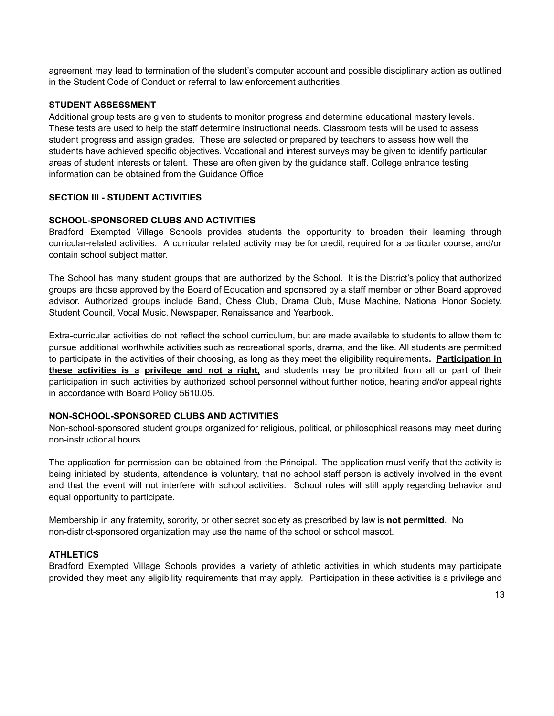agreement may lead to termination of the student's computer account and possible disciplinary action as outlined in the Student Code of Conduct or referral to law enforcement authorities.

#### **STUDENT ASSESSMENT**

Additional group tests are given to students to monitor progress and determine educational mastery levels. These tests are used to help the staff determine instructional needs. Classroom tests will be used to assess student progress and assign grades. These are selected or prepared by teachers to assess how well the students have achieved specific objectives. Vocational and interest surveys may be given to identify particular areas of student interests or talent. These are often given by the guidance staff. College entrance testing information can be obtained from the Guidance Office

#### **SECTION III - STUDENT ACTIVITIES**

# **SCHOOL-SPONSORED CLUBS AND ACTIVITIES**

Bradford Exempted Village Schools provides students the opportunity to broaden their learning through curricular-related activities. A curricular related activity may be for credit, required for a particular course, and/or contain school subject matter.

The School has many student groups that are authorized by the School. It is the District's policy that authorized groups are those approved by the Board of Education and sponsored by a staff member or other Board approved advisor. Authorized groups include Band, Chess Club, Drama Club, Muse Machine, National Honor Society, Student Council, Vocal Music, Newspaper, Renaissance and Yearbook.

Extra-curricular activities do not reflect the school curriculum, but are made available to students to allow them to pursue additional worthwhile activities such as recreational sports, drama, and the like. All students are permitted to participate in the activities of their choosing, as long as they meet the eligibility requirements**. Participation in these activities is a privilege and not a right,** and students may be prohibited from all or part of their participation in such activities by authorized school personnel without further notice, hearing and/or appeal rights in accordance with Board Policy 5610.05.

#### **NON-SCHOOL-SPONSORED CLUBS AND ACTIVITIES**

Non-school-sponsored student groups organized for religious, political, or philosophical reasons may meet during non-instructional hours.

The application for permission can be obtained from the Principal. The application must verify that the activity is being initiated by students, attendance is voluntary, that no school staff person is actively involved in the event and that the event will not interfere with school activities. School rules will still apply regarding behavior and equal opportunity to participate.

Membership in any fraternity, sorority, or other secret society as prescribed by law is **not permitted**. No non-district-sponsored organization may use the name of the school or school mascot.

#### **ATHLETICS**

Bradford Exempted Village Schools provides a variety of athletic activities in which students may participate provided they meet any eligibility requirements that may apply. Participation in these activities is a privilege and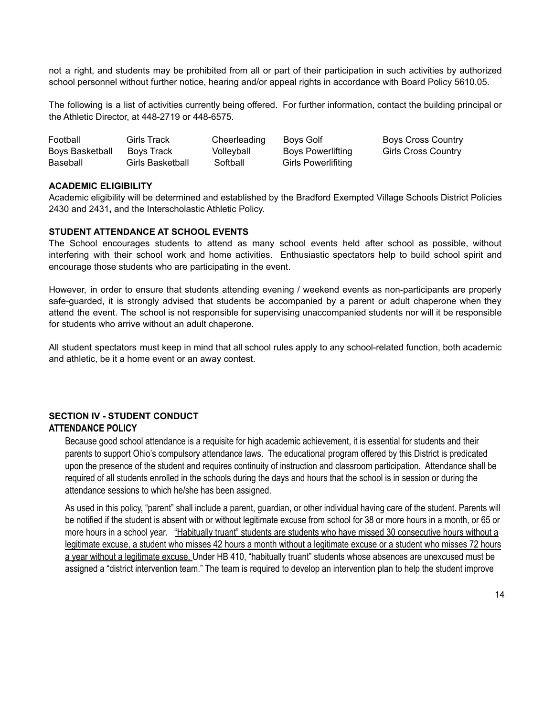not a right, and students may be prohibited from all or part of their participation in such activities by authorized school personnel without further notice, hearing and/or appeal rights in accordance with Board Policy 5610.05.

The following is a list of activities currently being offered. For further information, contact the building principal or the Athletic Director, at 448-2719 or 448-6575.

| Football        | Girls Track      | Cheerleading | Boys Golf           | Boys Cross Country         |
|-----------------|------------------|--------------|---------------------|----------------------------|
| Boys Basketball | Boys Track       | Volleyball   | Boys Powerlifting   | <b>Girls Cross Country</b> |
| Baseball        | Girls Basketball | Softball     | Girls Powerlifiting |                            |

#### **ACADEMIC ELIGIBILITY**

Academic eligibility will be determined and established by the Bradford Exempted Village Schools District Policies 2430 and 2431**,** and the Interscholastic Athletic Policy.

#### **STUDENT ATTENDANCE AT SCHOOL EVENTS**

The School encourages students to attend as many school events held after school as possible, without interfering with their school work and home activities. Enthusiastic spectators help to build school spirit and encourage those students who are participating in the event.

However, in order to ensure that students attending evening / weekend events as non-participants are properly safe-guarded, it is strongly advised that students be accompanied by a parent or adult chaperone when they attend the event. The school is not responsible for supervising unaccompanied students nor will it be responsible for students who arrive without an adult chaperone.

All student spectators must keep in mind that all school rules apply to any school-related function, both academic and athletic, be it a home event or an away contest.

# **SECTION IV - STUDENT CONDUCT ATTENDANCE POLICY**

Because good school attendance is a requisite for high academic achievement, it is essential for students and their parents to support Ohio's compulsory attendance laws. The educational program offered by this District is predicated upon the presence of the student and requires continuity of instruction and classroom participation. Attendance shall be required of all students enrolled in the schools during the days and hours that the school is in session or during the attendance sessions to which he/she has been assigned.

As used in this policy, "parent" shall include a parent, guardian, or other individual having care of the student. Parents will be notified if the student is absent with or without legitimate excuse from school for 38 or more hours in a month, or 65 or more hours in a school year. "Habitually truant" students are students who have missed 30 consecutive hours without a legitimate excuse, a student who misses 42 hours a month without a legitimate excuse or a student who misses 72 hours a year without a legitimate excuse. Under HB 410, "habitually truant" students whose absences are unexcused must be assigned a "district intervention team." The team is required to develop an intervention plan to help the student improve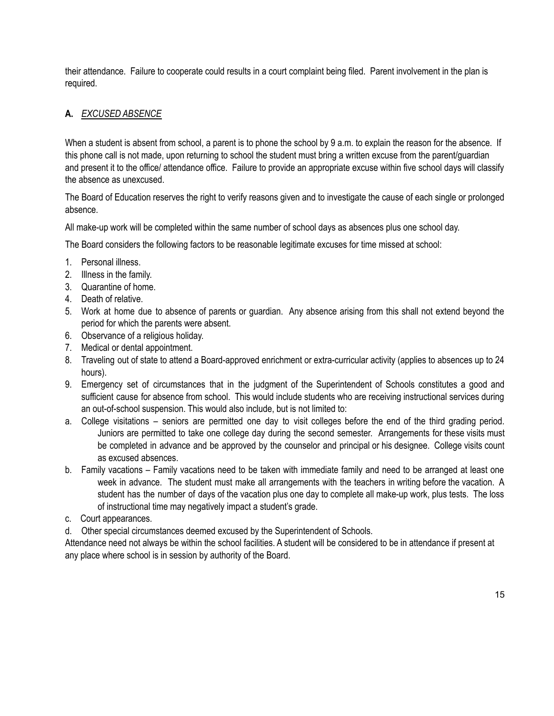their attendance. Failure to cooperate could results in a court complaint being filed. Parent involvement in the plan is required.

# **A.** *EXCUSED ABSENCE*

When a student is absent from school, a parent is to phone the school by 9 a.m. to explain the reason for the absence. If this phone call is not made, upon returning to school the student must bring a written excuse from the parent/guardian and present it to the office/ attendance office. Failure to provide an appropriate excuse within five school days will classify the absence as unexcused.

The Board of Education reserves the right to verify reasons given and to investigate the cause of each single or prolonged absence.

All make-up work will be completed within the same number of school days as absences plus one school day.

The Board considers the following factors to be reasonable legitimate excuses for time missed at school:

- 1. Personal illness.
- 2. Illness in the family.
- 3. Quarantine of home.
- 4. Death of relative.
- 5. Work at home due to absence of parents or guardian. Any absence arising from this shall not extend beyond the period for which the parents were absent.
- 6. Observance of a religious holiday.
- 7. Medical or dental appointment.
- 8. Traveling out of state to attend a Board-approved enrichment or extra-curricular activity (applies to absences up to 24 hours).
- 9. Emergency set of circumstances that in the judgment of the Superintendent of Schools constitutes a good and sufficient cause for absence from school. This would include students who are receiving instructional services during an out-of-school suspension. This would also include, but is not limited to:
- a. College visitations seniors are permitted one day to visit colleges before the end of the third grading period. Juniors are permitted to take one college day during the second semester. Arrangements for these visits must be completed in advance and be approved by the counselor and principal or his designee. College visits count as excused absences.
- b. Family vacations Family vacations need to be taken with immediate family and need to be arranged at least one week in advance. The student must make all arrangements with the teachers in writing before the vacation. A student has the number of days of the vacation plus one day to complete all make-up work, plus tests. The loss of instructional time may negatively impact a student's grade.
- c. Court appearances.
- d. Other special circumstances deemed excused by the Superintendent of Schools.

Attendance need not always be within the school facilities. A student will be considered to be in attendance if present at any place where school is in session by authority of the Board.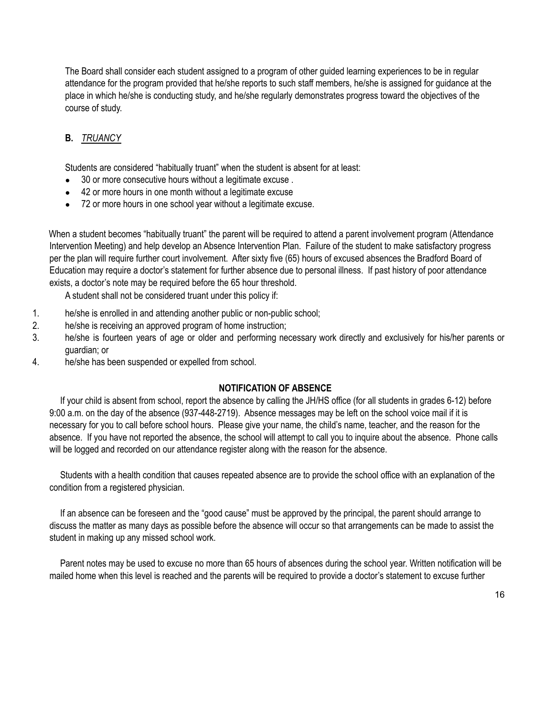The Board shall consider each student assigned to a program of other guided learning experiences to be in regular attendance for the program provided that he/she reports to such staff members, he/she is assigned for guidance at the place in which he/she is conducting study, and he/she regularly demonstrates progress toward the objectives of the course of study.

# **B.** *TRUANCY*

Students are considered "habitually truant" when the student is absent for at least:

- 30 or more consecutive hours without a legitimate excuse.
- 42 or more hours in one month without a legitimate excuse
- 72 or more hours in one school year without a legitimate excuse.

When a student becomes "habitually truant" the parent will be required to attend a parent involvement program (Attendance Intervention Meeting) and help develop an Absence Intervention Plan. Failure of the student to make satisfactory progress per the plan will require further court involvement. After sixty five (65) hours of excused absences the Bradford Board of Education may require a doctor's statement for further absence due to personal illness. If past history of poor attendance exists, a doctor's note may be required before the 65 hour threshold.

A student shall not be considered truant under this policy if:

- 1. he/she is enrolled in and attending another public or non-public school;
- 2. he/she is receiving an approved program of home instruction;
- 3. he/she is fourteen years of age or older and performing necessary work directly and exclusively for his/her parents or guardian; or
- 4. he/she has been suspended or expelled from school.

# **NOTIFICATION OF ABSENCE**

If your child is absent from school, report the absence by calling the JH/HS office (for all students in grades 6-12) before 9:00 a.m. on the day of the absence (937-448-2719). Absence messages may be left on the school voice mail if it is necessary for you to call before school hours. Please give your name, the child's name, teacher, and the reason for the absence. If you have not reported the absence, the school will attempt to call you to inquire about the absence. Phone calls will be logged and recorded on our attendance register along with the reason for the absence.

Students with a health condition that causes repeated absence are to provide the school office with an explanation of the condition from a registered physician.

If an absence can be foreseen and the "good cause" must be approved by the principal, the parent should arrange to discuss the matter as many days as possible before the absence will occur so that arrangements can be made to assist the student in making up any missed school work.

Parent notes may be used to excuse no more than 65 hours of absences during the school year. Written notification will be mailed home when this level is reached and the parents will be required to provide a doctor's statement to excuse further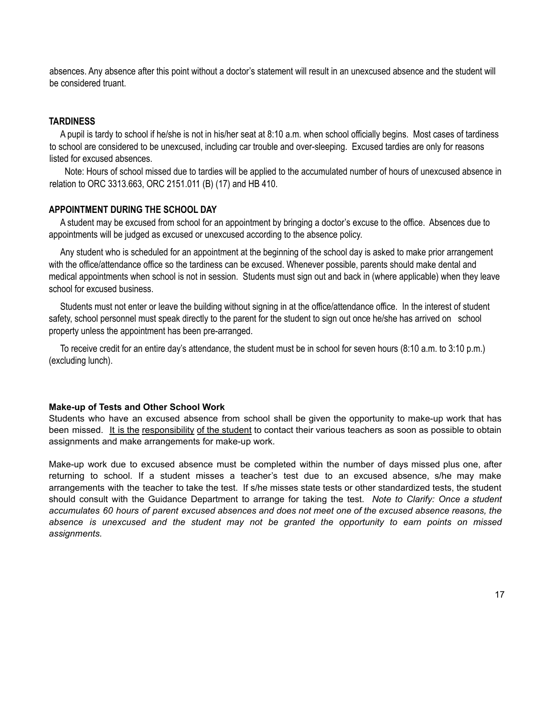absences. Any absence after this point without a doctor's statement will result in an unexcused absence and the student will be considered truant.

# **TARDINESS**

A pupil is tardy to school if he/she is not in his/her seat at 8:10 a.m. when school officially begins. Most cases of tardiness to school are considered to be unexcused, including car trouble and over-sleeping. Excused tardies are only for reasons listed for excused absences.

Note: Hours of school missed due to tardies will be applied to the accumulated number of hours of unexcused absence in relation to ORC 3313.663, ORC 2151.011 (B) (17) and HB 410.

# **APPOINTMENT DURING THE SCHOOL DAY**

A student may be excused from school for an appointment by bringing a doctor's excuse to the office. Absences due to appointments will be judged as excused or unexcused according to the absence policy.

Any student who is scheduled for an appointment at the beginning of the school day is asked to make prior arrangement with the office/attendance office so the tardiness can be excused. Whenever possible, parents should make dental and medical appointments when school is not in session. Students must sign out and back in (where applicable) when they leave school for excused business.

Students must not enter or leave the building without signing in at the office/attendance office. In the interest of student safety, school personnel must speak directly to the parent for the student to sign out once he/she has arrived on school property unless the appointment has been pre-arranged.

To receive credit for an entire day's attendance, the student must be in school for seven hours (8:10 a.m. to 3:10 p.m.) (excluding lunch).

#### **Make-up of Tests and Other School Work**

Students who have an excused absence from school shall be given the opportunity to make-up work that has been missed. It is the responsibility of the student to contact their various teachers as soon as possible to obtain assignments and make arrangements for make-up work.

Make-up work due to excused absence must be completed within the number of days missed plus one, after returning to school. If a student misses a teacher's test due to an excused absence, s/he may make arrangements with the teacher to take the test. If s/he misses state tests or other standardized tests, the student should consult with the Guidance Department to arrange for taking the test. *Note to Clarify: Once a student* accumulates 60 hours of parent excused absences and does not meet one of the excused absence reasons, the *absence is unexcused and the student may not be granted the opportunity to earn points on missed assignments.*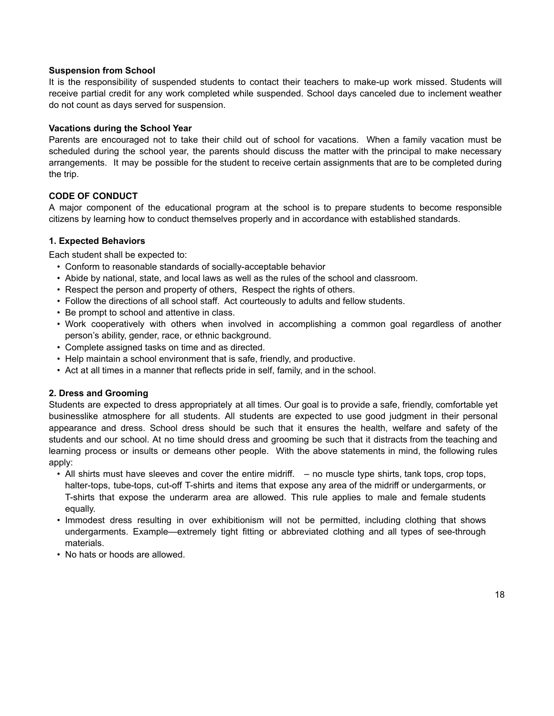#### **Suspension from School**

It is the responsibility of suspended students to contact their teachers to make-up work missed. Students will receive partial credit for any work completed while suspended. School days canceled due to inclement weather do not count as days served for suspension.

#### **Vacations during the School Year**

Parents are encouraged not to take their child out of school for vacations. When a family vacation must be scheduled during the school year, the parents should discuss the matter with the principal to make necessary arrangements. It may be possible for the student to receive certain assignments that are to be completed during the trip.

# **CODE OF CONDUCT**

A major component of the educational program at the school is to prepare students to become responsible citizens by learning how to conduct themselves properly and in accordance with established standards.

# **1. Expected Behaviors**

Each student shall be expected to:

- Conform to reasonable standards of socially-acceptable behavior
- Abide by national, state, and local laws as well as the rules of the school and classroom.
- Respect the person and property of others, Respect the rights of others.
- Follow the directions of all school staff. Act courteously to adults and fellow students.
- Be prompt to school and attentive in class.
- Work cooperatively with others when involved in accomplishing a common goal regardless of another person's ability, gender, race, or ethnic background.
- Complete assigned tasks on time and as directed.
- Help maintain a school environment that is safe, friendly, and productive.
- Act at all times in a manner that reflects pride in self, family, and in the school.

# **2. Dress and Grooming**

Students are expected to dress appropriately at all times. Our goal is to provide a safe, friendly, comfortable yet businesslike atmosphere for all students. All students are expected to use good judgment in their personal appearance and dress. School dress should be such that it ensures the health, welfare and safety of the students and our school. At no time should dress and grooming be such that it distracts from the teaching and learning process or insults or demeans other people. With the above statements in mind, the following rules apply:

- All shirts must have sleeves and cover the entire midriff. no muscle type shirts, tank tops, crop tops, halter-tops, tube-tops, cut-off T-shirts and items that expose any area of the midriff or undergarments, or T-shirts that expose the underarm area are allowed. This rule applies to male and female students equally.
- Immodest dress resulting in over exhibitionism will not be permitted, including clothing that shows undergarments. Example—extremely tight fitting or abbreviated clothing and all types of see-through materials.
- No hats or hoods are allowed.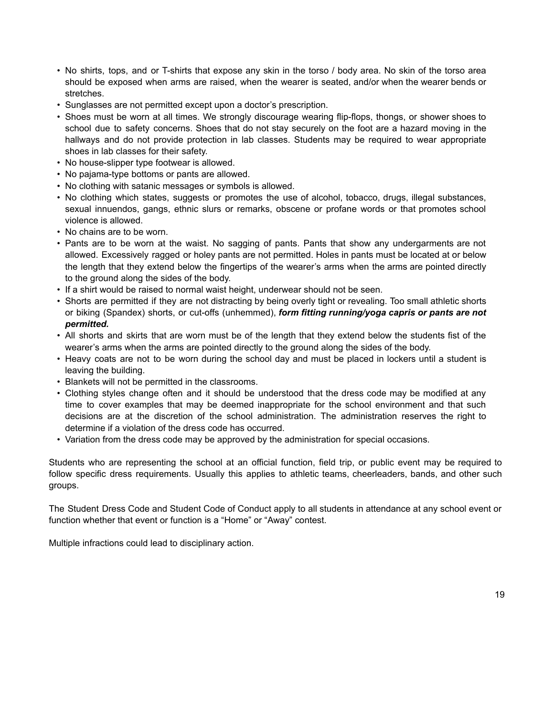- No shirts, tops, and or T-shirts that expose any skin in the torso / body area. No skin of the torso area should be exposed when arms are raised, when the wearer is seated, and/or when the wearer bends or stretches.
- Sunglasses are not permitted except upon a doctor's prescription.
- Shoes must be worn at all times. We strongly discourage wearing flip-flops, thongs, or shower shoes to school due to safety concerns. Shoes that do not stay securely on the foot are a hazard moving in the hallways and do not provide protection in lab classes. Students may be required to wear appropriate shoes in lab classes for their safety.
- No house-slipper type footwear is allowed.
- No pajama-type bottoms or pants are allowed.
- No clothing with satanic messages or symbols is allowed.
- No clothing which states, suggests or promotes the use of alcohol, tobacco, drugs, illegal substances, sexual innuendos, gangs, ethnic slurs or remarks, obscene or profane words or that promotes school violence is allowed.
- No chains are to be worn.
- Pants are to be worn at the waist. No sagging of pants. Pants that show any undergarments are not allowed. Excessively ragged or holey pants are not permitted. Holes in pants must be located at or below the length that they extend below the fingertips of the wearer's arms when the arms are pointed directly to the ground along the sides of the body.
- If a shirt would be raised to normal waist height, underwear should not be seen.
- Shorts are permitted if they are not distracting by being overly tight or revealing. Too small athletic shorts or biking (Spandex) shorts, or cut-offs (unhemmed), *form fitting running/yoga capris or pants are not permitted.*
- All shorts and skirts that are worn must be of the length that they extend below the students fist of the wearer's arms when the arms are pointed directly to the ground along the sides of the body.
- Heavy coats are not to be worn during the school day and must be placed in lockers until a student is leaving the building.
- Blankets will not be permitted in the classrooms.
- Clothing styles change often and it should be understood that the dress code may be modified at any time to cover examples that may be deemed inappropriate for the school environment and that such decisions are at the discretion of the school administration. The administration reserves the right to determine if a violation of the dress code has occurred.
- Variation from the dress code may be approved by the administration for special occasions.

Students who are representing the school at an official function, field trip, or public event may be required to follow specific dress requirements. Usually this applies to athletic teams, cheerleaders, bands, and other such groups.

The Student Dress Code and Student Code of Conduct apply to all students in attendance at any school event or function whether that event or function is a "Home" or "Away" contest.

Multiple infractions could lead to disciplinary action.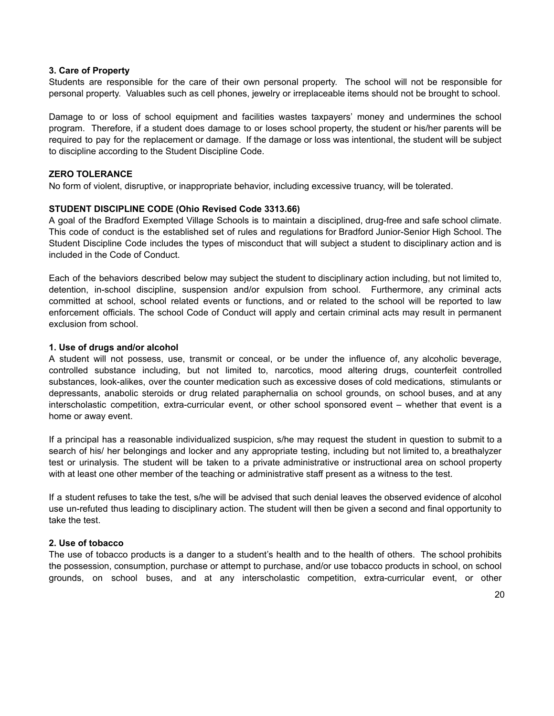#### **3. Care of Property**

Students are responsible for the care of their own personal property. The school will not be responsible for personal property. Valuables such as cell phones, jewelry or irreplaceable items should not be brought to school.

Damage to or loss of school equipment and facilities wastes taxpayers' money and undermines the school program. Therefore, if a student does damage to or loses school property, the student or his/her parents will be required to pay for the replacement or damage. If the damage or loss was intentional, the student will be subject to discipline according to the Student Discipline Code.

#### **ZERO TOLERANCE**

No form of violent, disruptive, or inappropriate behavior, including excessive truancy, will be tolerated.

#### **STUDENT DISCIPLINE CODE (Ohio Revised Code 3313.66)**

A goal of the Bradford Exempted Village Schools is to maintain a disciplined, drug-free and safe school climate. This code of conduct is the established set of rules and regulations for Bradford Junior-Senior High School. The Student Discipline Code includes the types of misconduct that will subject a student to disciplinary action and is included in the Code of Conduct.

Each of the behaviors described below may subject the student to disciplinary action including, but not limited to, detention, in-school discipline, suspension and/or expulsion from school. Furthermore, any criminal acts committed at school, school related events or functions, and or related to the school will be reported to law enforcement officials. The school Code of Conduct will apply and certain criminal acts may result in permanent exclusion from school.

#### **1. Use of drugs and/or alcohol**

A student will not possess, use, transmit or conceal, or be under the influence of, any alcoholic beverage, controlled substance including, but not limited to, narcotics, mood altering drugs, counterfeit controlled substances, look-alikes, over the counter medication such as excessive doses of cold medications, stimulants or depressants, anabolic steroids or drug related paraphernalia on school grounds, on school buses, and at any interscholastic competition, extra-curricular event, or other school sponsored event – whether that event is a home or away event.

If a principal has a reasonable individualized suspicion, s/he may request the student in question to submit to a search of his/ her belongings and locker and any appropriate testing, including but not limited to, a breathalyzer test or urinalysis. The student will be taken to a private administrative or instructional area on school property with at least one other member of the teaching or administrative staff present as a witness to the test.

If a student refuses to take the test, s/he will be advised that such denial leaves the observed evidence of alcohol use un-refuted thus leading to disciplinary action. The student will then be given a second and final opportunity to take the test.

#### **2. Use of tobacco**

The use of tobacco products is a danger to a student's health and to the health of others. The school prohibits the possession, consumption, purchase or attempt to purchase, and/or use tobacco products in school, on school grounds, on school buses, and at any interscholastic competition, extra-curricular event, or other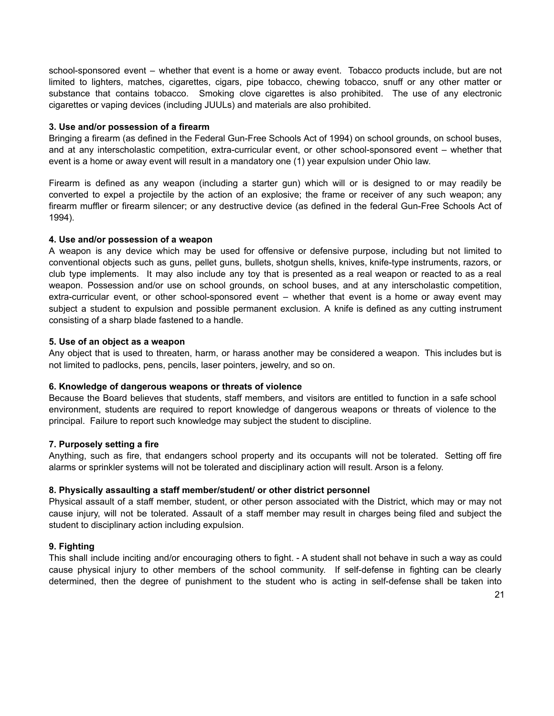school-sponsored event – whether that event is a home or away event. Tobacco products include, but are not limited to lighters, matches, cigarettes, cigars, pipe tobacco, chewing tobacco, snuff or any other matter or substance that contains tobacco. Smoking clove cigarettes is also prohibited. The use of any electronic cigarettes or vaping devices (including JUULs) and materials are also prohibited.

#### **3. Use and/or possession of a firearm**

Bringing a firearm (as defined in the Federal Gun-Free Schools Act of 1994) on school grounds, on school buses, and at any interscholastic competition, extra-curricular event, or other school-sponsored event – whether that event is a home or away event will result in a mandatory one (1) year expulsion under Ohio law.

Firearm is defined as any weapon (including a starter gun) which will or is designed to or may readily be converted to expel a projectile by the action of an explosive; the frame or receiver of any such weapon; any firearm muffler or firearm silencer; or any destructive device (as defined in the federal Gun-Free Schools Act of 1994).

#### **4. Use and/or possession of a weapon**

A weapon is any device which may be used for offensive or defensive purpose, including but not limited to conventional objects such as guns, pellet guns, bullets, shotgun shells, knives, knife-type instruments, razors, or club type implements. It may also include any toy that is presented as a real weapon or reacted to as a real weapon. Possession and/or use on school grounds, on school buses, and at any interscholastic competition, extra-curricular event, or other school-sponsored event – whether that event is a home or away event may subject a student to expulsion and possible permanent exclusion. A knife is defined as any cutting instrument consisting of a sharp blade fastened to a handle.

#### **5. Use of an object as a weapon**

Any object that is used to threaten, harm, or harass another may be considered a weapon. This includes but is not limited to padlocks, pens, pencils, laser pointers, jewelry, and so on.

#### **6. Knowledge of dangerous weapons or threats of violence**

Because the Board believes that students, staff members, and visitors are entitled to function in a safe school environment, students are required to report knowledge of dangerous weapons or threats of violence to the principal. Failure to report such knowledge may subject the student to discipline.

#### **7. Purposely setting a fire**

Anything, such as fire, that endangers school property and its occupants will not be tolerated. Setting off fire alarms or sprinkler systems will not be tolerated and disciplinary action will result. Arson is a felony.

# **8. Physically assaulting a staff member/student/ or other district personnel**

Physical assault of a staff member, student, or other person associated with the District, which may or may not cause injury, will not be tolerated. Assault of a staff member may result in charges being filed and subject the student to disciplinary action including expulsion.

# **9. Fighting**

This shall include inciting and/or encouraging others to fight. - A student shall not behave in such a way as could cause physical injury to other members of the school community. If self-defense in fighting can be clearly determined, then the degree of punishment to the student who is acting in self-defense shall be taken into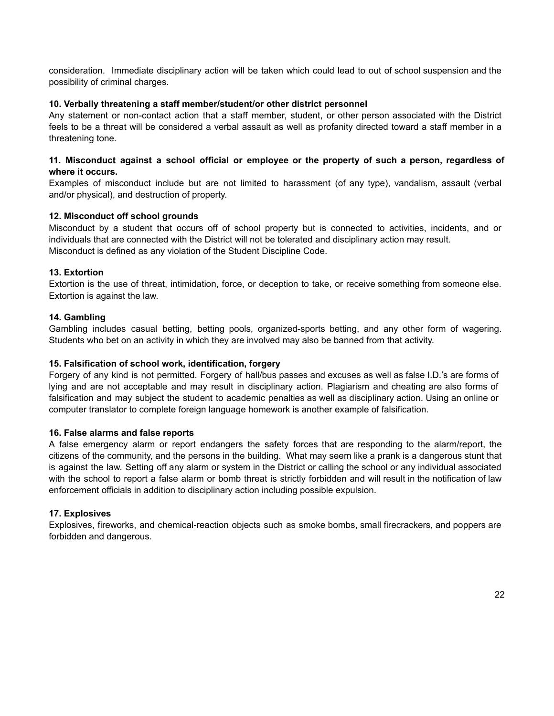consideration. Immediate disciplinary action will be taken which could lead to out of school suspension and the possibility of criminal charges.

# **10. Verbally threatening a staff member/student/or other district personnel**

Any statement or non-contact action that a staff member, student, or other person associated with the District feels to be a threat will be considered a verbal assault as well as profanity directed toward a staff member in a threatening tone.

# **11. Misconduct against a school official or employee or the property of such a person, regardless of where it occurs.**

Examples of misconduct include but are not limited to harassment (of any type), vandalism, assault (verbal and/or physical), and destruction of property.

#### **12. Misconduct off school grounds**

Misconduct by a student that occurs off of school property but is connected to activities, incidents, and or individuals that are connected with the District will not be tolerated and disciplinary action may result. Misconduct is defined as any violation of the Student Discipline Code.

#### **13. Extortion**

Extortion is the use of threat, intimidation, force, or deception to take, or receive something from someone else. Extortion is against the law.

#### **14. Gambling**

Gambling includes casual betting, betting pools, organized-sports betting, and any other form of wagering. Students who bet on an activity in which they are involved may also be banned from that activity.

#### **15. Falsification of school work, identification, forgery**

Forgery of any kind is not permitted. Forgery of hall/bus passes and excuses as well as false I.D.'s are forms of lying and are not acceptable and may result in disciplinary action. Plagiarism and cheating are also forms of falsification and may subject the student to academic penalties as well as disciplinary action. Using an online or computer translator to complete foreign language homework is another example of falsification.

#### **16. False alarms and false reports**

A false emergency alarm or report endangers the safety forces that are responding to the alarm/report, the citizens of the community, and the persons in the building. What may seem like a prank is a dangerous stunt that is against the law. Setting off any alarm or system in the District or calling the school or any individual associated with the school to report a false alarm or bomb threat is strictly forbidden and will result in the notification of law enforcement officials in addition to disciplinary action including possible expulsion.

#### **17. Explosives**

Explosives, fireworks, and chemical-reaction objects such as smoke bombs, small firecrackers, and poppers are forbidden and dangerous.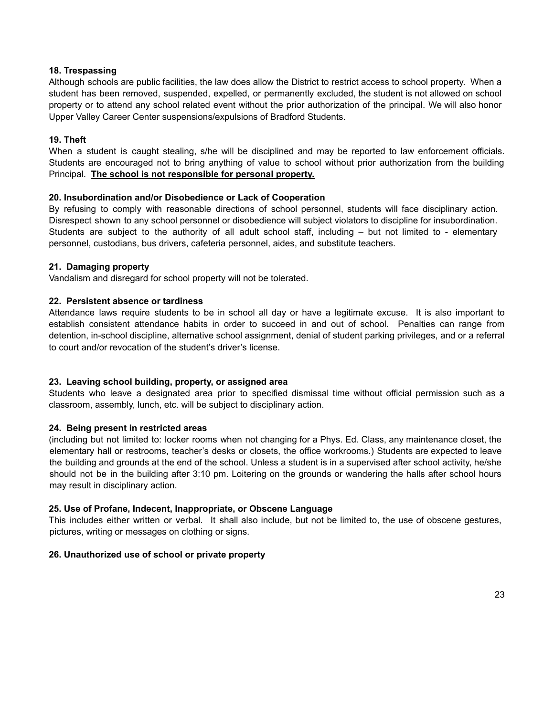#### **18. Trespassing**

Although schools are public facilities, the law does allow the District to restrict access to school property. When a student has been removed, suspended, expelled, or permanently excluded, the student is not allowed on school property or to attend any school related event without the prior authorization of the principal. We will also honor Upper Valley Career Center suspensions/expulsions of Bradford Students.

# **19. Theft**

When a student is caught stealing, s/he will be disciplined and may be reported to law enforcement officials. Students are encouraged not to bring anything of value to school without prior authorization from the building Principal. **The school is not responsible for personal property.**

#### **20. Insubordination and/or Disobedience or Lack of Cooperation**

By refusing to comply with reasonable directions of school personnel, students will face disciplinary action. Disrespect shown to any school personnel or disobedience will subject violators to discipline for insubordination. Students are subject to the authority of all adult school staff, including – but not limited to - elementary personnel, custodians, bus drivers, cafeteria personnel, aides, and substitute teachers.

#### **21. Damaging property**

Vandalism and disregard for school property will not be tolerated.

#### **22. Persistent absence or tardiness**

Attendance laws require students to be in school all day or have a legitimate excuse. It is also important to establish consistent attendance habits in order to succeed in and out of school. Penalties can range from detention, in-school discipline, alternative school assignment, denial of student parking privileges, and or a referral to court and/or revocation of the student's driver's license.

#### **23. Leaving school building, property, or assigned area**

Students who leave a designated area prior to specified dismissal time without official permission such as a classroom, assembly, lunch, etc. will be subject to disciplinary action.

#### **24. Being present in restricted areas**

(including but not limited to: locker rooms when not changing for a Phys. Ed. Class, any maintenance closet, the elementary hall or restrooms, teacher's desks or closets, the office workrooms.) Students are expected to leave the building and grounds at the end of the school. Unless a student is in a supervised after school activity, he/she should not be in the building after 3:10 pm. Loitering on the grounds or wandering the halls after school hours may result in disciplinary action.

#### **25. Use of Profane, Indecent, Inappropriate, or Obscene Language**

This includes either written or verbal. It shall also include, but not be limited to, the use of obscene gestures, pictures, writing or messages on clothing or signs.

#### **26. Unauthorized use of school or private property**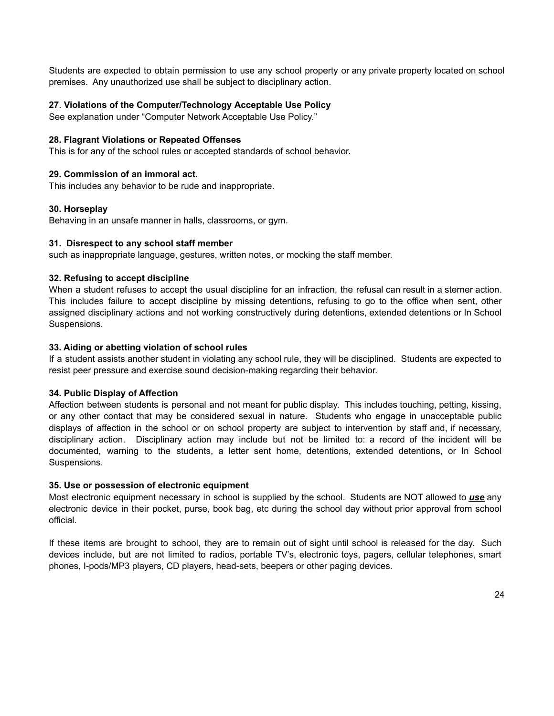Students are expected to obtain permission to use any school property or any private property located on school premises. Any unauthorized use shall be subject to disciplinary action.

# **27**. **Violations of the Computer/Technology Acceptable Use Policy**

See explanation under "Computer Network Acceptable Use Policy."

#### **28. Flagrant Violations or Repeated Offenses**

This is for any of the school rules or accepted standards of school behavior.

#### **29. Commission of an immoral act**.

This includes any behavior to be rude and inappropriate.

#### **30. Horseplay**

Behaving in an unsafe manner in halls, classrooms, or gym.

#### **31. Disrespect to any school staff member**

such as inappropriate language, gestures, written notes, or mocking the staff member.

#### **32. Refusing to accept discipline**

When a student refuses to accept the usual discipline for an infraction, the refusal can result in a sterner action. This includes failure to accept discipline by missing detentions, refusing to go to the office when sent, other assigned disciplinary actions and not working constructively during detentions, extended detentions or In School Suspensions.

#### **33. Aiding or abetting violation of school rules**

If a student assists another student in violating any school rule, they will be disciplined. Students are expected to resist peer pressure and exercise sound decision-making regarding their behavior.

#### **34. Public Display of Affection**

Affection between students is personal and not meant for public display. This includes touching, petting, kissing, or any other contact that may be considered sexual in nature. Students who engage in unacceptable public displays of affection in the school or on school property are subject to intervention by staff and, if necessary, disciplinary action. Disciplinary action may include but not be limited to: a record of the incident will be documented, warning to the students, a letter sent home, detentions, extended detentions, or In School Suspensions.

#### **35. Use or possession of electronic equipment**

Most electronic equipment necessary in school is supplied by the school. Students are NOT allowed to *use* any electronic device in their pocket, purse, book bag, etc during the school day without prior approval from school official.

If these items are brought to school, they are to remain out of sight until school is released for the day. Such devices include, but are not limited to radios, portable TV's, electronic toys, pagers, cellular telephones, smart phones, I-pods/MP3 players, CD players, head-sets, beepers or other paging devices.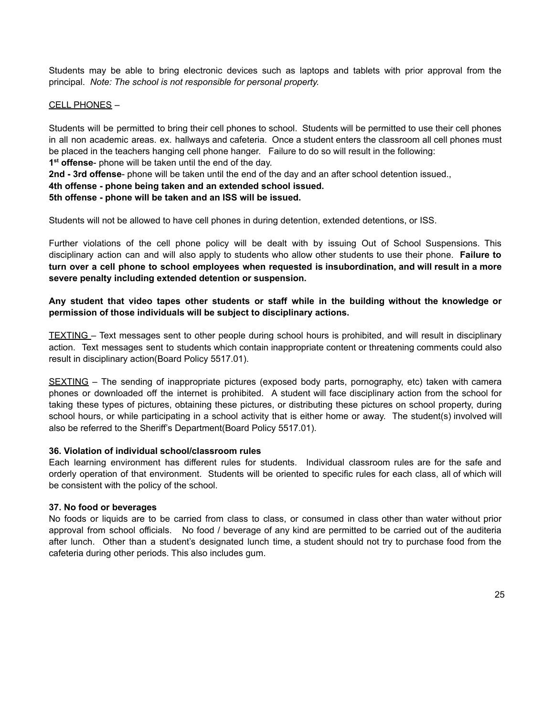Students may be able to bring electronic devices such as laptops and tablets with prior approval from the principal. *Note: The school is not responsible for personal property.*

#### CELL PHONES –

Students will be permitted to bring their cell phones to school. Students will be permitted to use their cell phones in all non academic areas. ex. hallways and cafeteria. Once a student enters the classroom all cell phones must be placed in the teachers hanging cell phone hanger. Failure to do so will result in the following: **1 st offense**- phone will be taken until the end of the day.

**2nd - 3rd offense**- phone will be taken until the end of the day and an after school detention issued.,

#### **4th offense - phone being taken and an extended school issued.**

#### **5th offense - phone will be taken and an ISS will be issued.**

Students will not be allowed to have cell phones in during detention, extended detentions, or ISS.

Further violations of the cell phone policy will be dealt with by issuing Out of School Suspensions. This disciplinary action can and will also apply to students who allow other students to use their phone. **Failure to** turn over a cell phone to school employees when requested is insubordination, and will result in a more **severe penalty including extended detention or suspension.**

# **Any student that video tapes other students or staff while in the building without the knowledge or permission of those individuals will be subject to disciplinary actions.**

TEXTING – Text messages sent to other people during school hours is prohibited, and will result in disciplinary action. Text messages sent to students which contain inappropriate content or threatening comments could also result in disciplinary action(Board Policy 5517.01).

SEXTING – The sending of inappropriate pictures (exposed body parts, pornography, etc) taken with camera phones or downloaded off the internet is prohibited. A student will face disciplinary action from the school for taking these types of pictures, obtaining these pictures, or distributing these pictures on school property, during school hours, or while participating in a school activity that is either home or away. The student(s) involved will also be referred to the Sheriff's Department(Board Policy 5517.01).

#### **36. Violation of individual school/classroom rules**

Each learning environment has different rules for students. Individual classroom rules are for the safe and orderly operation of that environment. Students will be oriented to specific rules for each class, all of which will be consistent with the policy of the school.

#### **37. No food or beverages**

No foods or liquids are to be carried from class to class, or consumed in class other than water without prior approval from school officials. No food / beverage of any kind are permitted to be carried out of the auditeria after lunch. Other than a student's designated lunch time, a student should not try to purchase food from the cafeteria during other periods. This also includes gum.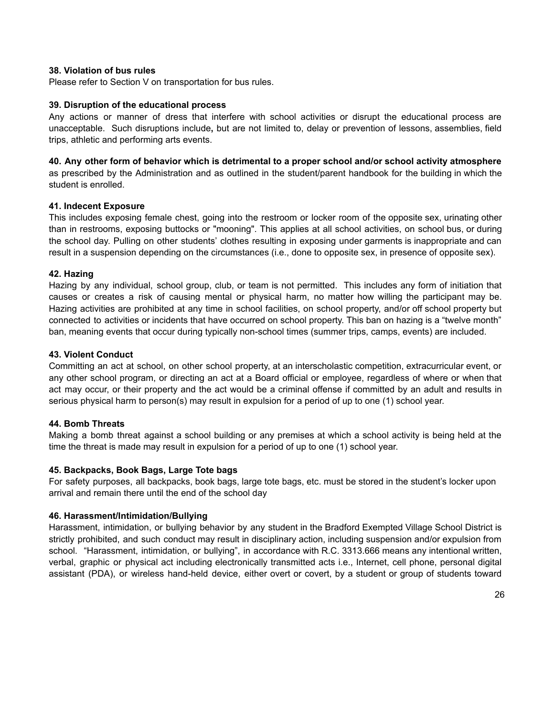### **38. Violation of bus rules**

Please refer to Section V on transportation for bus rules.

#### **39. Disruption of the educational process**

Any actions or manner of dress that interfere with school activities or disrupt the educational process are unacceptable. Such disruptions include**,** but are not limited to, delay or prevention of lessons, assemblies, field trips, athletic and performing arts events.

#### **40. Any other form of behavior which is detrimental to a proper school and/or school activity atmosphere** as prescribed by the Administration and as outlined in the student/parent handbook for the building in which the student is enrolled.

#### **41. Indecent Exposure**

This includes exposing female chest, going into the restroom or locker room of the opposite sex, urinating other than in restrooms, exposing buttocks or "mooning". This applies at all school activities, on school bus, or during the school day. Pulling on other students' clothes resulting in exposing under garments is inappropriate and can result in a suspension depending on the circumstances (i.e., done to opposite sex, in presence of opposite sex).

#### **42. Hazing**

Hazing by any individual, school group, club, or team is not permitted. This includes any form of initiation that causes or creates a risk of causing mental or physical harm, no matter how willing the participant may be. Hazing activities are prohibited at any time in school facilities, on school property, and/or off school property but connected to activities or incidents that have occurred on school property. This ban on hazing is a "twelve month" ban, meaning events that occur during typically non-school times (summer trips, camps, events) are included.

# **43. Violent Conduct**

Committing an act at school, on other school property, at an interscholastic competition, extracurricular event, or any other school program, or directing an act at a Board official or employee, regardless of where or when that act may occur, or their property and the act would be a criminal offense if committed by an adult and results in serious physical harm to person(s) may result in expulsion for a period of up to one (1) school year.

# **44. Bomb Threats**

Making a bomb threat against a school building or any premises at which a school activity is being held at the time the threat is made may result in expulsion for a period of up to one (1) school year.

#### **45. Backpacks, Book Bags, Large Tote bags**

For safety purposes, all backpacks, book bags, large tote bags, etc. must be stored in the student's locker upon arrival and remain there until the end of the school day

#### **46. Harassment/Intimidation/Bullying**

Harassment, intimidation, or bullying behavior by any student in the Bradford Exempted Village School District is strictly prohibited, and such conduct may result in disciplinary action, including suspension and/or expulsion from school. "Harassment, intimidation, or bullying", in accordance with R.C. 3313.666 means any intentional written, verbal, graphic or physical act including electronically transmitted acts i.e., Internet, cell phone, personal digital assistant (PDA), or wireless hand-held device, either overt or covert, by a student or group of students toward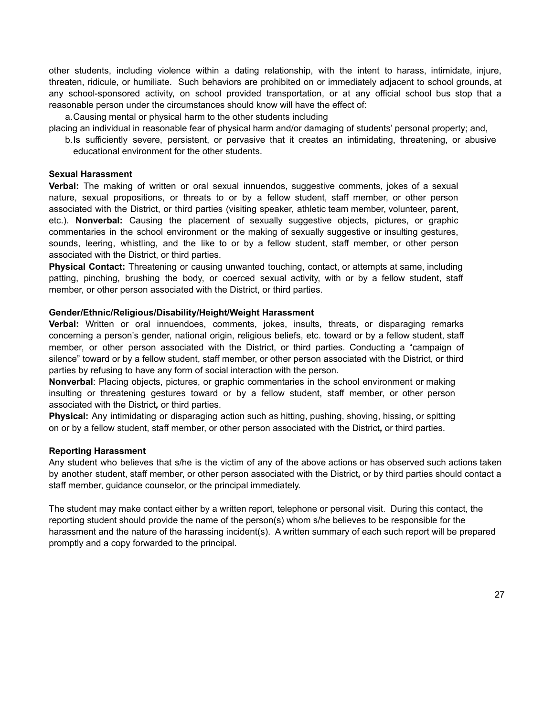other students, including violence within a dating relationship, with the intent to harass, intimidate, injure, threaten, ridicule, or humiliate. Such behaviors are prohibited on or immediately adjacent to school grounds, at any school-sponsored activity, on school provided transportation, or at any official school bus stop that a reasonable person under the circumstances should know will have the effect of:

a.Causing mental or physical harm to the other students including

placing an individual in reasonable fear of physical harm and/or damaging of students' personal property; and,

b.Is sufficiently severe, persistent, or pervasive that it creates an intimidating, threatening, or abusive educational environment for the other students.

#### **Sexual Harassment**

**Verbal:** The making of written or oral sexual innuendos, suggestive comments, jokes of a sexual nature, sexual propositions, or threats to or by a fellow student, staff member, or other person associated with the District, or third parties (visiting speaker, athletic team member, volunteer, parent, etc.). **Nonverbal:** Causing the placement of sexually suggestive objects, pictures, or graphic commentaries in the school environment or the making of sexually suggestive or insulting gestures, sounds, leering, whistling, and the like to or by a fellow student, staff member, or other person associated with the District, or third parties.

**Physical Contact:** Threatening or causing unwanted touching, contact, or attempts at same, including patting, pinching, brushing the body, or coerced sexual activity, with or by a fellow student, staff member, or other person associated with the District, or third parties.

#### **Gender/Ethnic/Religious/Disability/Height/Weight Harassment**

**Verbal:** Written or oral innuendoes, comments, jokes, insults, threats, or disparaging remarks concerning a person's gender, national origin, religious beliefs, etc. toward or by a fellow student, staff member, or other person associated with the District, or third parties. Conducting a "campaign of silence" toward or by a fellow student, staff member, or other person associated with the District, or third parties by refusing to have any form of social interaction with the person.

**Nonverbal**: Placing objects, pictures, or graphic commentaries in the school environment or making insulting or threatening gestures toward or by a fellow student, staff member, or other person associated with the District*,* or third parties.

**Physical:** Any intimidating or disparaging action such as hitting, pushing, shoving, hissing, or spitting on or by a fellow student, staff member, or other person associated with the District*,* or third parties.

#### **Reporting Harassment**

Any student who believes that s/he is the victim of any of the above actions or has observed such actions taken by another student, staff member, or other person associated with the District*,* or by third parties should contact a staff member, guidance counselor, or the principal immediately.

The student may make contact either by a written report, telephone or personal visit. During this contact, the reporting student should provide the name of the person(s) whom s/he believes to be responsible for the harassment and the nature of the harassing incident(s). A written summary of each such report will be prepared promptly and a copy forwarded to the principal.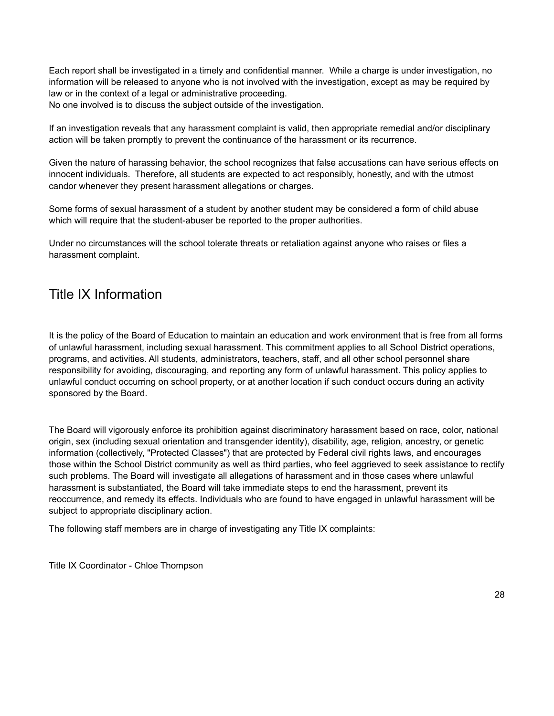Each report shall be investigated in a timely and confidential manner. While a charge is under investigation, no information will be released to anyone who is not involved with the investigation, except as may be required by law or in the context of a legal or administrative proceeding.

No one involved is to discuss the subject outside of the investigation.

If an investigation reveals that any harassment complaint is valid, then appropriate remedial and/or disciplinary action will be taken promptly to prevent the continuance of the harassment or its recurrence.

Given the nature of harassing behavior, the school recognizes that false accusations can have serious effects on innocent individuals. Therefore, all students are expected to act responsibly, honestly, and with the utmost candor whenever they present harassment allegations or charges.

Some forms of sexual harassment of a student by another student may be considered a form of child abuse which will require that the student-abuser be reported to the proper authorities.

Under no circumstances will the school tolerate threats or retaliation against anyone who raises or files a harassment complaint.

# Title IX Information

It is the policy of the Board of Education to maintain an education and work environment that is free from all forms of unlawful harassment, including sexual harassment. This commitment applies to all School District operations, programs, and activities. All students, administrators, teachers, staff, and all other school personnel share responsibility for avoiding, discouraging, and reporting any form of unlawful harassment. This policy applies to unlawful conduct occurring on school property, or at another location if such conduct occurs during an activity sponsored by the Board.

The Board will vigorously enforce its prohibition against discriminatory harassment based on race, color, national origin, sex (including sexual orientation and transgender identity), disability, age, religion, ancestry, or genetic information (collectively, "Protected Classes") that are protected by Federal civil rights laws, and encourages those within the School District community as well as third parties, who feel aggrieved to seek assistance to rectify such problems. The Board will investigate all allegations of harassment and in those cases where unlawful harassment is substantiated, the Board will take immediate steps to end the harassment, prevent its reoccurrence, and remedy its effects. Individuals who are found to have engaged in unlawful harassment will be subject to appropriate disciplinary action.

The following staff members are in charge of investigating any Title IX complaints:

Title IX Coordinator - Chloe Thompson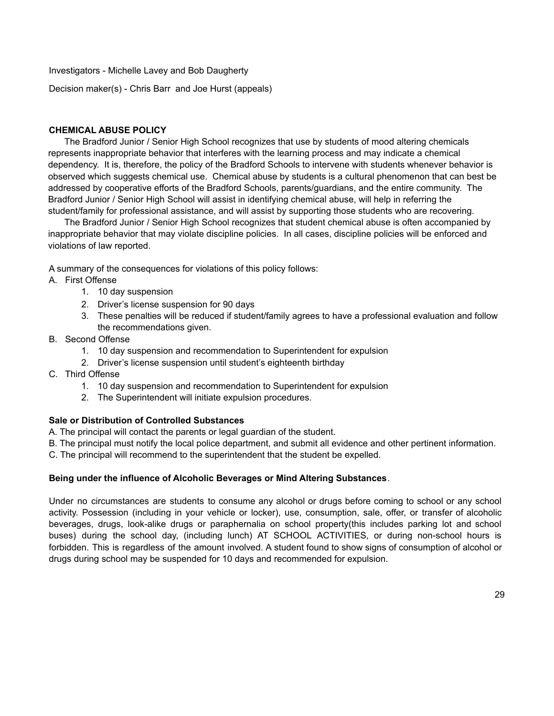Investigators - Michelle Lavey and Bob Daugherty

Decision maker(s) - Chris Barr and Joe Hurst (appeals)

# **CHEMICAL ABUSE POLICY**

The Bradford Junior / Senior High School recognizes that use by students of mood altering chemicals represents inappropriate behavior that interferes with the learning process and may indicate a chemical dependency. It is, therefore, the policy of the Bradford Schools to intervene with students whenever behavior is observed which suggests chemical use. Chemical abuse by students is a cultural phenomenon that can best be addressed by cooperative efforts of the Bradford Schools, parents/guardians, and the entire community. The Bradford Junior / Senior High School will assist in identifying chemical abuse, will help in referring the student/family for professional assistance, and will assist by supporting those students who are recovering.

The Bradford Junior / Senior High School recognizes that student chemical abuse is often accompanied by inappropriate behavior that may violate discipline policies. In all cases, discipline policies will be enforced and violations of law reported.

A summary of the consequences for violations of this policy follows:

- A. First Offense
	- 1. 10 day suspension
	- 2. Driver's license suspension for 90 days
	- 3. These penalties will be reduced if student/family agrees to have a professional evaluation and follow the recommendations given.
- B. Second Offense
	- 1. 10 day suspension and recommendation to Superintendent for expulsion
	- 2. Driver's license suspension until student's eighteenth birthday
- C. Third Offense
	- 1. 10 day suspension and recommendation to Superintendent for expulsion
	- 2. The Superintendent will initiate expulsion procedures.

# **Sale or Distribution of Controlled Substances**

- A. The principal will contact the parents or legal guardian of the student.
- B. The principal must notify the local police department, and submit all evidence and other pertinent information.
- C. The principal will recommend to the superintendent that the student be expelled.

#### **Being under the influence of Alcoholic Beverages or Mind Altering Substances**.

Under no circumstances are students to consume any alcohol or drugs before coming to school or any school activity. Possession (including in your vehicle or locker), use, consumption, sale, offer, or transfer of alcoholic beverages, drugs, look-alike drugs or paraphernalia on school property(this includes parking lot and school buses) during the school day, (including lunch) AT SCHOOL ACTIVITIES, or during non-school hours is forbidden. This is regardless of the amount involved. A student found to show signs of consumption of alcohol or drugs during school may be suspended for 10 days and recommended for expulsion.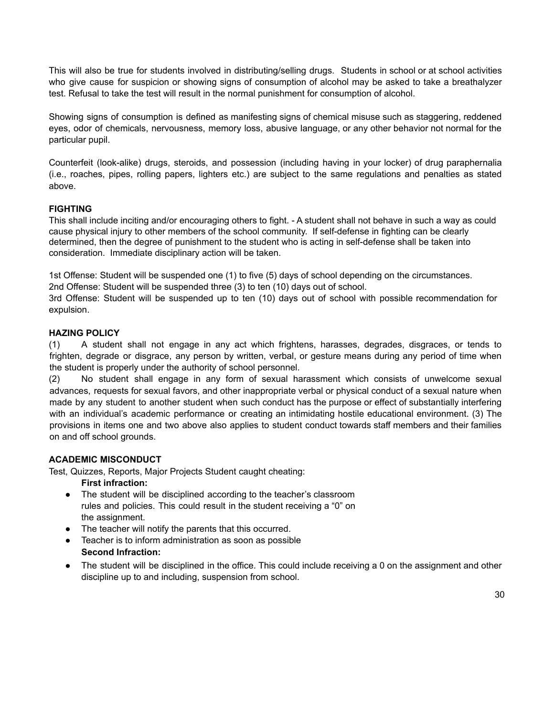This will also be true for students involved in distributing/selling drugs. Students in school or at school activities who give cause for suspicion or showing signs of consumption of alcohol may be asked to take a breathalyzer test. Refusal to take the test will result in the normal punishment for consumption of alcohol.

Showing signs of consumption is defined as manifesting signs of chemical misuse such as staggering, reddened eyes, odor of chemicals, nervousness, memory loss, abusive language, or any other behavior not normal for the particular pupil.

Counterfeit (look-alike) drugs, steroids, and possession (including having in your locker) of drug paraphernalia (i.e., roaches, pipes, rolling papers, lighters etc.) are subject to the same regulations and penalties as stated above.

# **FIGHTING**

This shall include inciting and/or encouraging others to fight. - A student shall not behave in such a way as could cause physical injury to other members of the school community. If self-defense in fighting can be clearly determined, then the degree of punishment to the student who is acting in self-defense shall be taken into consideration. Immediate disciplinary action will be taken.

1st Offense: Student will be suspended one (1) to five (5) days of school depending on the circumstances. 2nd Offense: Student will be suspended three (3) to ten (10) days out of school.

3rd Offense: Student will be suspended up to ten (10) days out of school with possible recommendation for expulsion.

# **HAZING POLICY**

(1) A student shall not engage in any act which frightens, harasses, degrades, disgraces, or tends to frighten, degrade or disgrace, any person by written, verbal, or gesture means during any period of time when the student is properly under the authority of school personnel.

(2) No student shall engage in any form of sexual harassment which consists of unwelcome sexual advances, requests for sexual favors, and other inappropriate verbal or physical conduct of a sexual nature when made by any student to another student when such conduct has the purpose or effect of substantially interfering with an individual's academic performance or creating an intimidating hostile educational environment. (3) The provisions in items one and two above also applies to student conduct towards staff members and their families on and off school grounds.

# **ACADEMIC MISCONDUCT**

Test, Quizzes, Reports, Major Projects Student caught cheating:

**First infraction:**

- The student will be disciplined according to the teacher's classroom rules and policies. This could result in the student receiving a "0" on the assignment.
- The teacher will notify the parents that this occurred.
- Teacher is to inform administration as soon as possible **Second Infraction:**
- The student will be disciplined in the office. This could include receiving a 0 on the assignment and other discipline up to and including, suspension from school.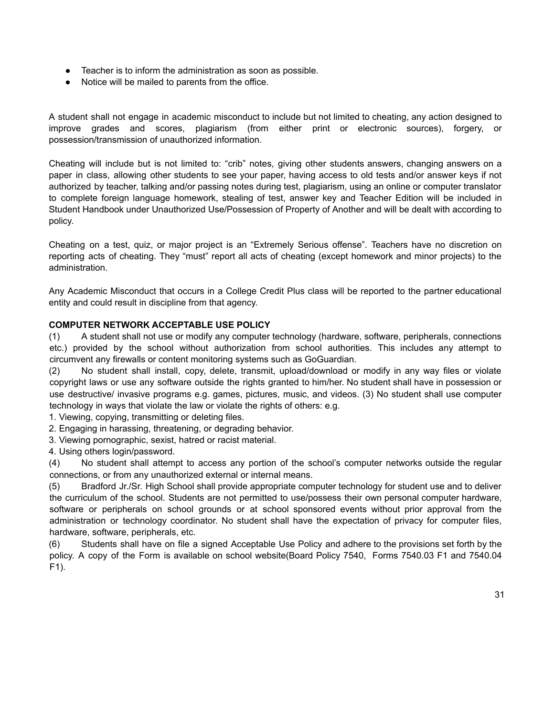- Teacher is to inform the administration as soon as possible.
- Notice will be mailed to parents from the office.

A student shall not engage in academic misconduct to include but not limited to cheating, any action designed to improve grades and scores, plagiarism (from either print or electronic sources), forgery, or possession/transmission of unauthorized information.

Cheating will include but is not limited to: "crib" notes, giving other students answers, changing answers on a paper in class, allowing other students to see your paper, having access to old tests and/or answer keys if not authorized by teacher, talking and/or passing notes during test, plagiarism, using an online or computer translator to complete foreign language homework, stealing of test, answer key and Teacher Edition will be included in Student Handbook under Unauthorized Use/Possession of Property of Another and will be dealt with according to policy.

Cheating on a test, quiz, or major project is an "Extremely Serious offense". Teachers have no discretion on reporting acts of cheating. They "must" report all acts of cheating (except homework and minor projects) to the administration.

Any Academic Misconduct that occurs in a College Credit Plus class will be reported to the partner educational entity and could result in discipline from that agency.

# **COMPUTER NETWORK ACCEPTABLE USE POLICY**

(1) A student shall not use or modify any computer technology (hardware, software, peripherals, connections etc.) provided by the school without authorization from school authorities. This includes any attempt to circumvent any firewalls or content monitoring systems such as GoGuardian.

(2) No student shall install, copy, delete, transmit, upload/download or modify in any way files or violate copyright laws or use any software outside the rights granted to him/her. No student shall have in possession or use destructive/ invasive programs e.g. games, pictures, music, and videos. (3) No student shall use computer technology in ways that violate the law or violate the rights of others: e.g.

1. Viewing, copying, transmitting or deleting files.

2. Engaging in harassing, threatening, or degrading behavior.

3. Viewing pornographic, sexist, hatred or racist material.

4. Using others login/password.

(4) No student shall attempt to access any portion of the school's computer networks outside the regular connections, or from any unauthorized external or internal means.

(5) Bradford Jr./Sr. High School shall provide appropriate computer technology for student use and to deliver the curriculum of the school. Students are not permitted to use/possess their own personal computer hardware, software or peripherals on school grounds or at school sponsored events without prior approval from the administration or technology coordinator. No student shall have the expectation of privacy for computer files, hardware, software, peripherals, etc.

(6) Students shall have on file a signed Acceptable Use Policy and adhere to the provisions set forth by the policy. A copy of the Form is available on school website(Board Policy 7540, Forms 7540.03 F1 and 7540.04 F1).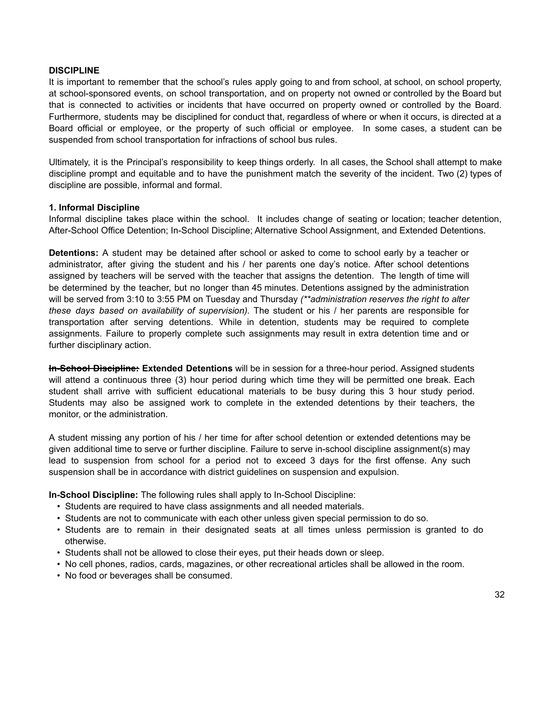#### **DISCIPLINE**

It is important to remember that the school's rules apply going to and from school, at school, on school property, at school-sponsored events, on school transportation, and on property not owned or controlled by the Board but that is connected to activities or incidents that have occurred on property owned or controlled by the Board. Furthermore, students may be disciplined for conduct that, regardless of where or when it occurs, is directed at a Board official or employee, or the property of such official or employee. In some cases, a student can be suspended from school transportation for infractions of school bus rules.

Ultimately, it is the Principal's responsibility to keep things orderly. In all cases, the School shall attempt to make discipline prompt and equitable and to have the punishment match the severity of the incident. Two (2) types of discipline are possible, informal and formal.

#### **1. Informal Discipline**

Informal discipline takes place within the school. It includes change of seating or location; teacher detention, After-School Office Detention; In-School Discipline; Alternative School Assignment, and Extended Detentions.

**Detentions:** A student may be detained after school or asked to come to school early by a teacher or administrator, after giving the student and his / her parents one day's notice. After school detentions assigned by teachers will be served with the teacher that assigns the detention. The length of time will be determined by the teacher, but no longer than 45 minutes. Detentions assigned by the administration will be served from 3:10 to 3:55 PM on Tuesday and Thursday *(\*\*administration reserves the right to alter these days based on availability of supervision).* The student or his / her parents are responsible for transportation after serving detentions. While in detention, students may be required to complete assignments. Failure to properly complete such assignments may result in extra detention time and or further disciplinary action.

**In-School Discipline: Extended Detentions** will be in session for a three-hour period. Assigned students will attend a continuous three (3) hour period during which time they will be permitted one break. Each student shall arrive with sufficient educational materials to be busy during this 3 hour study period. Students may also be assigned work to complete in the extended detentions by their teachers, the monitor, or the administration.

A student missing any portion of his / her time for after school detention or extended detentions may be given additional time to serve or further discipline. Failure to serve in-school discipline assignment(s) may lead to suspension from school for a period not to exceed 3 days for the first offense. Any such suspension shall be in accordance with district guidelines on suspension and expulsion.

**In-School Discipline:** The following rules shall apply to In-School Discipline:

- Students are required to have class assignments and all needed materials.
- Students are not to communicate with each other unless given special permission to do so.
- Students are to remain in their designated seats at all times unless permission is granted to do otherwise.
- Students shall not be allowed to close their eyes, put their heads down or sleep.
- No cell phones, radios, cards, magazines, or other recreational articles shall be allowed in the room.
- No food or beverages shall be consumed.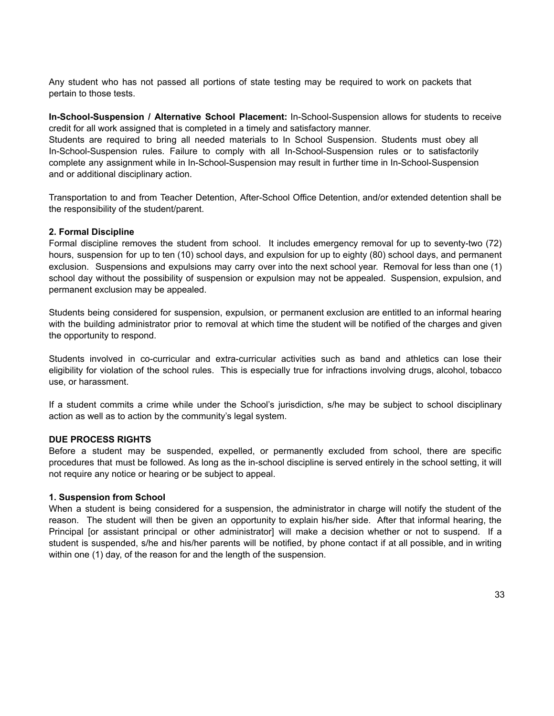Any student who has not passed all portions of state testing may be required to work on packets that pertain to those tests.

**In-School-Suspension / Alternative School Placement:** In-School-Suspension allows for students to receive credit for all work assigned that is completed in a timely and satisfactory manner.

Students are required to bring all needed materials to In School Suspension. Students must obey all In-School-Suspension rules. Failure to comply with all In-School-Suspension rules or to satisfactorily complete any assignment while in In-School-Suspension may result in further time in In-School-Suspension and or additional disciplinary action.

Transportation to and from Teacher Detention, After-School Office Detention, and/or extended detention shall be the responsibility of the student/parent.

#### **2. Formal Discipline**

Formal discipline removes the student from school. It includes emergency removal for up to seventy-two (72) hours, suspension for up to ten (10) school days, and expulsion for up to eighty (80) school days, and permanent exclusion. Suspensions and expulsions may carry over into the next school year. Removal for less than one (1) school day without the possibility of suspension or expulsion may not be appealed. Suspension, expulsion, and permanent exclusion may be appealed.

Students being considered for suspension, expulsion, or permanent exclusion are entitled to an informal hearing with the building administrator prior to removal at which time the student will be notified of the charges and given the opportunity to respond.

Students involved in co-curricular and extra-curricular activities such as band and athletics can lose their eligibility for violation of the school rules. This is especially true for infractions involving drugs, alcohol, tobacco use, or harassment.

If a student commits a crime while under the School's jurisdiction, s/he may be subject to school disciplinary action as well as to action by the community's legal system.

#### **DUE PROCESS RIGHTS**

Before a student may be suspended, expelled, or permanently excluded from school, there are specific procedures that must be followed. As long as the in-school discipline is served entirely in the school setting, it will not require any notice or hearing or be subject to appeal.

#### **1. Suspension from School**

When a student is being considered for a suspension, the administrator in charge will notify the student of the reason. The student will then be given an opportunity to explain his/her side. After that informal hearing, the Principal [or assistant principal or other administrator] will make a decision whether or not to suspend. If a student is suspended, s/he and his/her parents will be notified, by phone contact if at all possible, and in writing within one (1) day, of the reason for and the length of the suspension.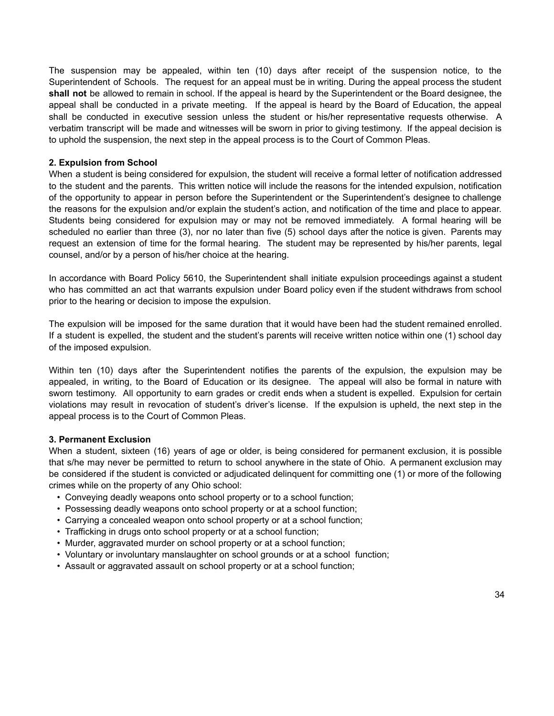The suspension may be appealed, within ten (10) days after receipt of the suspension notice, to the Superintendent of Schools. The request for an appeal must be in writing. During the appeal process the student **shall not** be allowed to remain in school. If the appeal is heard by the Superintendent or the Board designee, the appeal shall be conducted in a private meeting. If the appeal is heard by the Board of Education, the appeal shall be conducted in executive session unless the student or his/her representative requests otherwise. A verbatim transcript will be made and witnesses will be sworn in prior to giving testimony. If the appeal decision is to uphold the suspension, the next step in the appeal process is to the Court of Common Pleas.

#### **2. Expulsion from School**

When a student is being considered for expulsion, the student will receive a formal letter of notification addressed to the student and the parents. This written notice will include the reasons for the intended expulsion, notification of the opportunity to appear in person before the Superintendent or the Superintendent's designee to challenge the reasons for the expulsion and/or explain the student's action, and notification of the time and place to appear. Students being considered for expulsion may or may not be removed immediately. A formal hearing will be scheduled no earlier than three (3), nor no later than five (5) school days after the notice is given. Parents may request an extension of time for the formal hearing. The student may be represented by his/her parents, legal counsel, and/or by a person of his/her choice at the hearing.

In accordance with Board Policy 5610, the Superintendent shall initiate expulsion proceedings against a student who has committed an act that warrants expulsion under Board policy even if the student withdraws from school prior to the hearing or decision to impose the expulsion.

The expulsion will be imposed for the same duration that it would have been had the student remained enrolled. If a student is expelled, the student and the student's parents will receive written notice within one (1) school day of the imposed expulsion.

Within ten (10) days after the Superintendent notifies the parents of the expulsion, the expulsion may be appealed, in writing, to the Board of Education or its designee. The appeal will also be formal in nature with sworn testimony. All opportunity to earn grades or credit ends when a student is expelled. Expulsion for certain violations may result in revocation of student's driver's license. If the expulsion is upheld, the next step in the appeal process is to the Court of Common Pleas.

#### **3. Permanent Exclusion**

When a student, sixteen (16) years of age or older, is being considered for permanent exclusion, it is possible that s/he may never be permitted to return to school anywhere in the state of Ohio. A permanent exclusion may be considered if the student is convicted or adjudicated delinquent for committing one (1) or more of the following crimes while on the property of any Ohio school:

- Conveying deadly weapons onto school property or to a school function;
- Possessing deadly weapons onto school property or at a school function;
- Carrying a concealed weapon onto school property or at a school function;
- Trafficking in drugs onto school property or at a school function;
- Murder, aggravated murder on school property or at a school function;
- Voluntary or involuntary manslaughter on school grounds or at a school function;
- Assault or aggravated assault on school property or at a school function;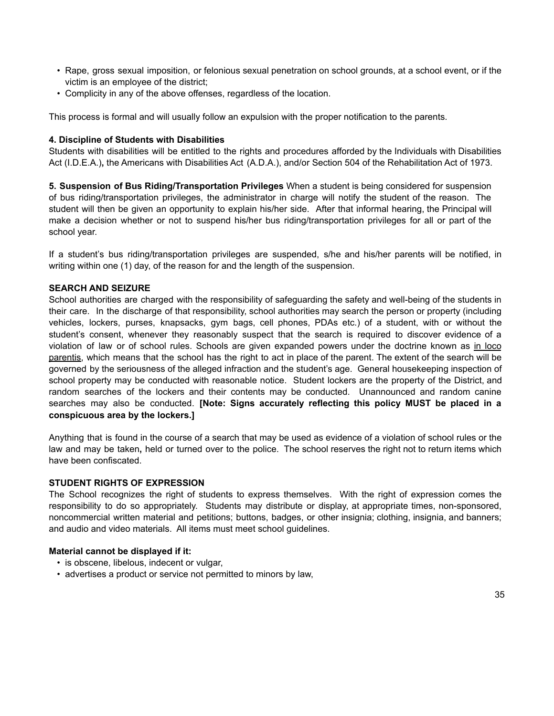- Rape, gross sexual imposition, or felonious sexual penetration on school grounds, at a school event, or if the victim is an employee of the district;
- Complicity in any of the above offenses, regardless of the location.

This process is formal and will usually follow an expulsion with the proper notification to the parents.

#### **4. Discipline of Students with Disabilities**

Students with disabilities will be entitled to the rights and procedures afforded by the Individuals with Disabilities Act (I.D.E.A.)**,** the Americans with Disabilities Act (A.D.A.), and/or Section 504 of the Rehabilitation Act of 1973.

**5. Suspension of Bus Riding/Transportation Privileges** When a student is being considered for suspension of bus riding/transportation privileges, the administrator in charge will notify the student of the reason. The student will then be given an opportunity to explain his/her side. After that informal hearing, the Principal will make a decision whether or not to suspend his/her bus riding/transportation privileges for all or part of the school year.

If a student's bus riding/transportation privileges are suspended, s/he and his/her parents will be notified, in writing within one (1) day, of the reason for and the length of the suspension.

# **SEARCH AND SEIZURE**

School authorities are charged with the responsibility of safeguarding the safety and well-being of the students in their care. In the discharge of that responsibility, school authorities may search the person or property (including vehicles, lockers, purses, knapsacks, gym bags, cell phones, PDAs etc.) of a student, with or without the student's consent, whenever they reasonably suspect that the search is required to discover evidence of a violation of law or of school rules. Schools are given expanded powers under the doctrine known as in loco parentis, which means that the school has the right to act in place of the parent. The extent of the search will be governed by the seriousness of the alleged infraction and the student's age. General housekeeping inspection of school property may be conducted with reasonable notice. Student lockers are the property of the District, and random searches of the lockers and their contents may be conducted. Unannounced and random canine searches may also be conducted. **[Note: Signs accurately reflecting this policy MUST be placed in a conspicuous area by the lockers.]**

Anything that is found in the course of a search that may be used as evidence of a violation of school rules or the law and may be taken**,** held or turned over to the police. The school reserves the right not to return items which have been confiscated.

#### **STUDENT RIGHTS OF EXPRESSION**

The School recognizes the right of students to express themselves. With the right of expression comes the responsibility to do so appropriately. Students may distribute or display, at appropriate times, non-sponsored, noncommercial written material and petitions; buttons, badges, or other insignia; clothing, insignia, and banners; and audio and video materials. All items must meet school guidelines.

#### **Material cannot be displayed if it:**

- is obscene, libelous, indecent or vulgar,
- advertises a product or service not permitted to minors by law,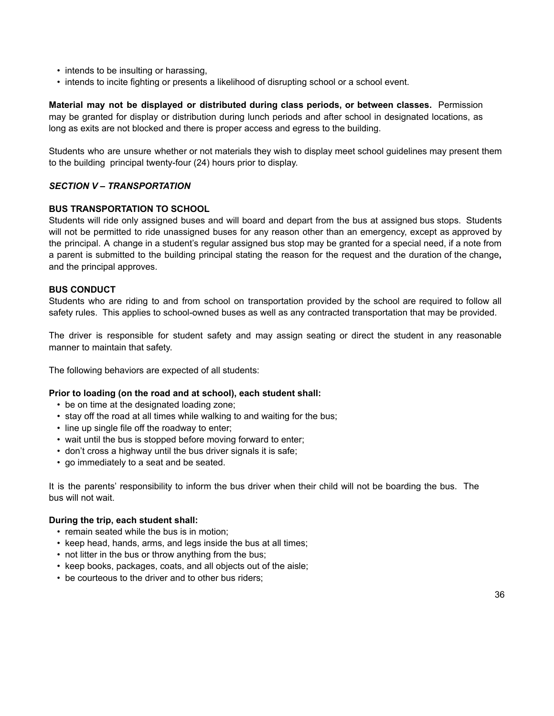- intends to be insulting or harassing,
- intends to incite fighting or presents a likelihood of disrupting school or a school event.

**Material may not be displayed or distributed during class periods, or between classes.** Permission may be granted for display or distribution during lunch periods and after school in designated locations, as long as exits are not blocked and there is proper access and egress to the building.

Students who are unsure whether or not materials they wish to display meet school guidelines may present them to the building principal twenty-four (24) hours prior to display.

# *SECTION V – TRANSPORTATION*

#### **BUS TRANSPORTATION TO SCHOOL**

Students will ride only assigned buses and will board and depart from the bus at assigned bus stops. Students will not be permitted to ride unassigned buses for any reason other than an emergency, except as approved by the principal. A change in a student's regular assigned bus stop may be granted for a special need, if a note from a parent is submitted to the building principal stating the reason for the request and the duration of the change**,** and the principal approves.

#### **BUS CONDUCT**

Students who are riding to and from school on transportation provided by the school are required to follow all safety rules. This applies to school-owned buses as well as any contracted transportation that may be provided.

The driver is responsible for student safety and may assign seating or direct the student in any reasonable manner to maintain that safety.

The following behaviors are expected of all students:

#### **Prior to loading (on the road and at school), each student shall:**

- be on time at the designated loading zone;
- stay off the road at all times while walking to and waiting for the bus;
- line up single file off the roadway to enter;
- wait until the bus is stopped before moving forward to enter;
- don't cross a highway until the bus driver signals it is safe;
- go immediately to a seat and be seated.

It is the parents' responsibility to inform the bus driver when their child will not be boarding the bus. The bus will not wait.

#### **During the trip, each student shall:**

- remain seated while the bus is in motion;
- keep head, hands, arms, and legs inside the bus at all times;
- not litter in the bus or throw anything from the bus;
- keep books, packages, coats, and all objects out of the aisle;
- be courteous to the driver and to other bus riders;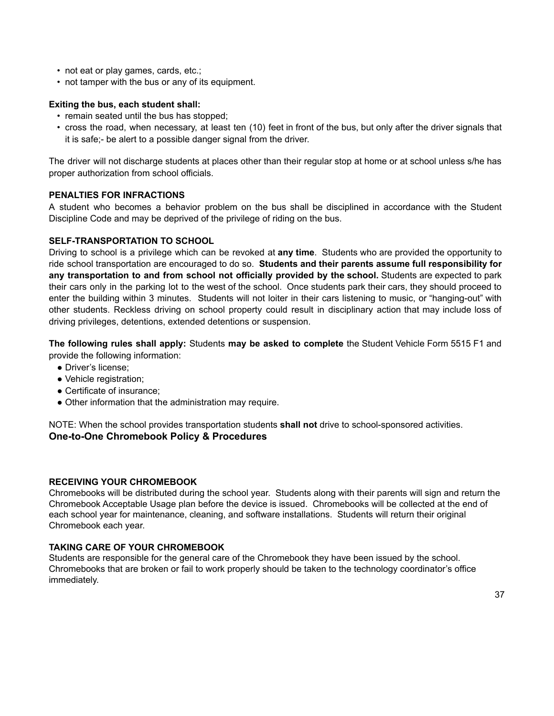- not eat or play games, cards, etc.;
- not tamper with the bus or any of its equipment.

#### **Exiting the bus, each student shall:**

- remain seated until the bus has stopped;
- cross the road, when necessary, at least ten (10) feet in front of the bus, but only after the driver signals that it is safe;- be alert to a possible danger signal from the driver.

The driver will not discharge students at places other than their regular stop at home or at school unless s/he has proper authorization from school officials.

#### **PENALTIES FOR INFRACTIONS**

A student who becomes a behavior problem on the bus shall be disciplined in accordance with the Student Discipline Code and may be deprived of the privilege of riding on the bus.

#### **SELF-TRANSPORTATION TO SCHOOL**

Driving to school is a privilege which can be revoked at **any time**. Students who are provided the opportunity to ride school transportation are encouraged to do so. **Students and their parents assume full responsibility for any transportation to and from school not officially provided by the school.** Students are expected to park their cars only in the parking lot to the west of the school. Once students park their cars, they should proceed to enter the building within 3 minutes. Students will not loiter in their cars listening to music, or "hanging-out" with other students. Reckless driving on school property could result in disciplinary action that may include loss of driving privileges, detentions, extended detentions or suspension.

**The following rules shall apply:** Students **may be asked to complete** the Student Vehicle Form 5515 F1 and provide the following information:

- Driver's license;
- Vehicle registration;
- Certificate of insurance;
- Other information that the administration may require.

NOTE: When the school provides transportation students **shall not** drive to school-sponsored activities. **One-to-One Chromebook Policy & Procedures**

#### **RECEIVING YOUR CHROMEBOOK**

Chromebooks will be distributed during the school year. Students along with their parents will sign and return the Chromebook Acceptable Usage plan before the device is issued. Chromebooks will be collected at the end of each school year for maintenance, cleaning, and software installations. Students will return their original Chromebook each year.

# **TAKING CARE OF YOUR CHROMEBOOK**

Students are responsible for the general care of the Chromebook they have been issued by the school. Chromebooks that are broken or fail to work properly should be taken to the technology coordinator's office immediately.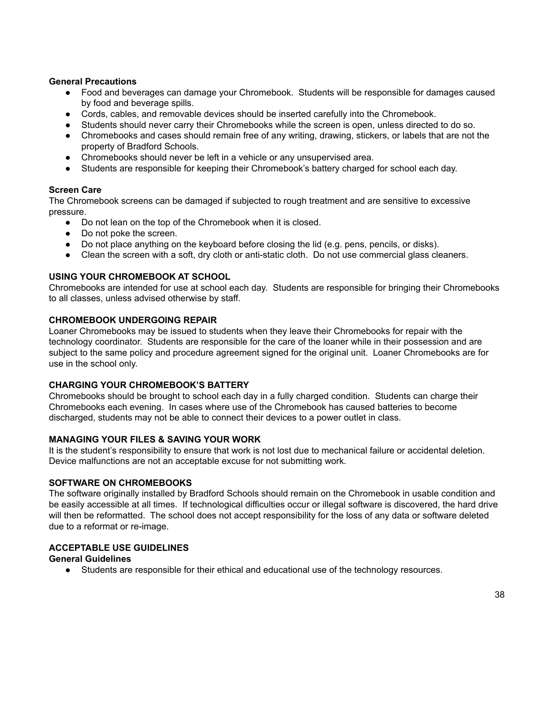#### **General Precautions**

- Food and beverages can damage your Chromebook. Students will be responsible for damages caused by food and beverage spills.
- Cords, cables, and removable devices should be inserted carefully into the Chromebook.
- Students should never carry their Chromebooks while the screen is open, unless directed to do so.
- Chromebooks and cases should remain free of any writing, drawing, stickers, or labels that are not the property of Bradford Schools.
- Chromebooks should never be left in a vehicle or any unsupervised area.
- Students are responsible for keeping their Chromebook's battery charged for school each day.

#### **Screen Care**

The Chromebook screens can be damaged if subjected to rough treatment and are sensitive to excessive pressure.

- Do not lean on the top of the Chromebook when it is closed.
- Do not poke the screen.
- Do not place anything on the keyboard before closing the lid (e.g. pens, pencils, or disks).
- Clean the screen with a soft, dry cloth or anti-static cloth. Do not use commercial glass cleaners.

#### **USING YOUR CHROMEBOOK AT SCHOOL**

Chromebooks are intended for use at school each day. Students are responsible for bringing their Chromebooks to all classes, unless advised otherwise by staff.

#### **CHROMEBOOK UNDERGOING REPAIR**

Loaner Chromebooks may be issued to students when they leave their Chromebooks for repair with the technology coordinator. Students are responsible for the care of the loaner while in their possession and are subject to the same policy and procedure agreement signed for the original unit. Loaner Chromebooks are for use in the school only.

#### **CHARGING YOUR CHROMEBOOK'S BATTERY**

Chromebooks should be brought to school each day in a fully charged condition. Students can charge their Chromebooks each evening. In cases where use of the Chromebook has caused batteries to become discharged, students may not be able to connect their devices to a power outlet in class.

#### **MANAGING YOUR FILES & SAVING YOUR WORK**

It is the student's responsibility to ensure that work is not lost due to mechanical failure or accidental deletion. Device malfunctions are not an acceptable excuse for not submitting work.

#### **SOFTWARE ON CHROMEBOOKS**

The software originally installed by Bradford Schools should remain on the Chromebook in usable condition and be easily accessible at all times. If technological difficulties occur or illegal software is discovered, the hard drive will then be reformatted. The school does not accept responsibility for the loss of any data or software deleted due to a reformat or re-image.

# **ACCEPTABLE USE GUIDELINES**

#### **General Guidelines**

• Students are responsible for their ethical and educational use of the technology resources.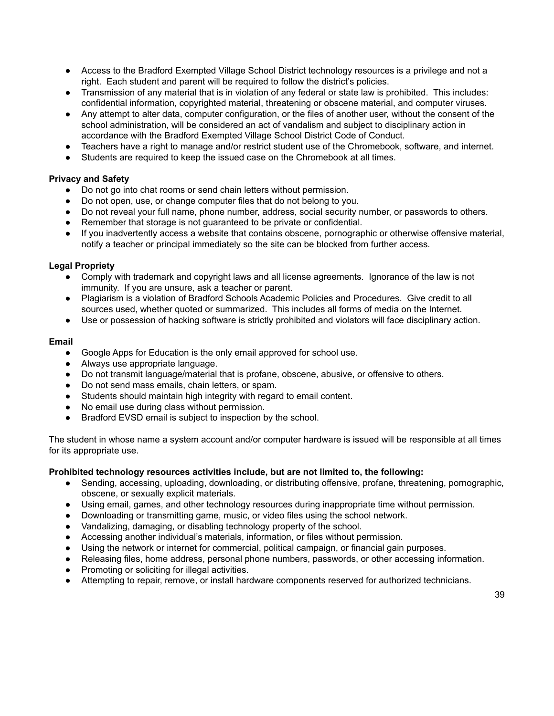- Access to the Bradford Exempted Village School District technology resources is a privilege and not a right. Each student and parent will be required to follow the district's policies.
- Transmission of any material that is in violation of any federal or state law is prohibited. This includes: confidential information, copyrighted material, threatening or obscene material, and computer viruses.
- Any attempt to alter data, computer configuration, or the files of another user, without the consent of the school administration, will be considered an act of vandalism and subject to disciplinary action in accordance with the Bradford Exempted Village School District Code of Conduct.
- Teachers have a right to manage and/or restrict student use of the Chromebook, software, and internet.
- Students are required to keep the issued case on the Chromebook at all times.

#### **Privacy and Safety**

- Do not go into chat rooms or send chain letters without permission.
- Do not open, use, or change computer files that do not belong to you.
- Do not reveal your full name, phone number, address, social security number, or passwords to others.
- Remember that storage is not guaranteed to be private or confidential.
- If you inadvertently access a website that contains obscene, pornographic or otherwise offensive material, notify a teacher or principal immediately so the site can be blocked from further access.

#### **Legal Propriety**

- Comply with trademark and copyright laws and all license agreements. Ignorance of the law is not immunity. If you are unsure, ask a teacher or parent.
- Plagiarism is a violation of Bradford Schools Academic Policies and Procedures. Give credit to all sources used, whether quoted or summarized. This includes all forms of media on the Internet.
- Use or possession of hacking software is strictly prohibited and violators will face disciplinary action.

#### **Email**

- Google Apps for Education is the only email approved for school use.
- Always use appropriate language.
- Do not transmit language/material that is profane, obscene, abusive, or offensive to others.
- Do not send mass emails, chain letters, or spam.
- Students should maintain high integrity with regard to email content.
- No email use during class without permission.
- Bradford EVSD email is subject to inspection by the school.

The student in whose name a system account and/or computer hardware is issued will be responsible at all times for its appropriate use.

#### **Prohibited technology resources activities include, but are not limited to, the following:**

- Sending, accessing, uploading, downloading, or distributing offensive, profane, threatening, pornographic, obscene, or sexually explicit materials.
- Using email, games, and other technology resources during inappropriate time without permission.
- Downloading or transmitting game, music, or video files using the school network.
- Vandalizing, damaging, or disabling technology property of the school.
- Accessing another individual's materials, information, or files without permission.
- Using the network or internet for commercial, political campaign, or financial gain purposes.
- Releasing files, home address, personal phone numbers, passwords, or other accessing information.
- Promoting or soliciting for illegal activities.
- Attempting to repair, remove, or install hardware components reserved for authorized technicians.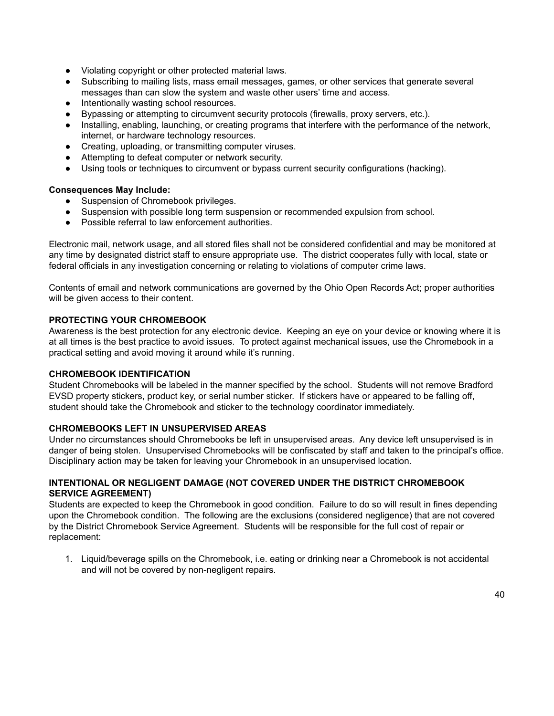- Violating copyright or other protected material laws.
- Subscribing to mailing lists, mass email messages, games, or other services that generate several messages than can slow the system and waste other users' time and access.
- Intentionally wasting school resources.
- Bypassing or attempting to circumvent security protocols (firewalls, proxy servers, etc.).
- Installing, enabling, launching, or creating programs that interfere with the performance of the network, internet, or hardware technology resources.
- Creating, uploading, or transmitting computer viruses.
- Attempting to defeat computer or network security.
- Using tools or techniques to circumvent or bypass current security configurations (hacking).

#### **Consequences May Include:**

- Suspension of Chromebook privileges.
- Suspension with possible long term suspension or recommended expulsion from school.
- Possible referral to law enforcement authorities.

Electronic mail, network usage, and all stored files shall not be considered confidential and may be monitored at any time by designated district staff to ensure appropriate use. The district cooperates fully with local, state or federal officials in any investigation concerning or relating to violations of computer crime laws.

Contents of email and network communications are governed by the Ohio Open Records Act; proper authorities will be given access to their content.

#### **PROTECTING YOUR CHROMEBOOK**

Awareness is the best protection for any electronic device. Keeping an eye on your device or knowing where it is at all times is the best practice to avoid issues. To protect against mechanical issues, use the Chromebook in a practical setting and avoid moving it around while it's running.

#### **CHROMEBOOK IDENTIFICATION**

Student Chromebooks will be labeled in the manner specified by the school. Students will not remove Bradford EVSD property stickers, product key, or serial number sticker. If stickers have or appeared to be falling off, student should take the Chromebook and sticker to the technology coordinator immediately.

#### **CHROMEBOOKS LEFT IN UNSUPERVISED AREAS**

Under no circumstances should Chromebooks be left in unsupervised areas. Any device left unsupervised is in danger of being stolen. Unsupervised Chromebooks will be confiscated by staff and taken to the principal's office. Disciplinary action may be taken for leaving your Chromebook in an unsupervised location.

#### **INTENTIONAL OR NEGLIGENT DAMAGE (NOT COVERED UNDER THE DISTRICT CHROMEBOOK SERVICE AGREEMENT)**

Students are expected to keep the Chromebook in good condition. Failure to do so will result in fines depending upon the Chromebook condition. The following are the exclusions (considered negligence) that are not covered by the District Chromebook Service Agreement. Students will be responsible for the full cost of repair or replacement:

1. Liquid/beverage spills on the Chromebook, i.e. eating or drinking near a Chromebook is not accidental and will not be covered by non-negligent repairs.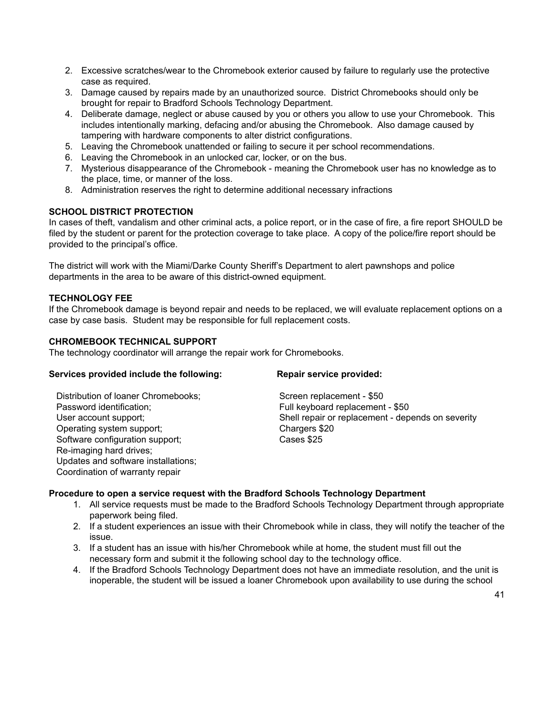- 2. Excessive scratches/wear to the Chromebook exterior caused by failure to regularly use the protective case as required.
- 3. Damage caused by repairs made by an unauthorized source. District Chromebooks should only be brought for repair to Bradford Schools Technology Department.
- 4. Deliberate damage, neglect or abuse caused by you or others you allow to use your Chromebook. This includes intentionally marking, defacing and/or abusing the Chromebook. Also damage caused by tampering with hardware components to alter district configurations.
- 5. Leaving the Chromebook unattended or failing to secure it per school recommendations.
- 6. Leaving the Chromebook in an unlocked car, locker, or on the bus.
- 7. Mysterious disappearance of the Chromebook meaning the Chromebook user has no knowledge as to the place, time, or manner of the loss.
- 8. Administration reserves the right to determine additional necessary infractions

#### **SCHOOL DISTRICT PROTECTION**

In cases of theft, vandalism and other criminal acts, a police report, or in the case of fire, a fire report SHOULD be filed by the student or parent for the protection coverage to take place. A copy of the police/fire report should be provided to the principal's office.

The district will work with the Miami/Darke County Sheriff's Department to alert pawnshops and police departments in the area to be aware of this district-owned equipment.

#### **TECHNOLOGY FEE**

If the Chromebook damage is beyond repair and needs to be replaced, we will evaluate replacement options on a case by case basis. Student may be responsible for full replacement costs.

#### **CHROMEBOOK TECHNICAL SUPPORT**

The technology coordinator will arrange the repair work for Chromebooks.

#### **Services provided include the following: Repair service provided:**

Distribution of loaner Chromebooks: Screen replacement - \$50 Password identification; example a set of the Full keyboard replacement - \$50 Operating system support; Chargers \$20 Software configuration support; Cases \$25 Re-imaging hard drives; Updates and software installations; Coordination of warranty repair

User account support;  $\Box$  Shell repair or replacement - depends on severity

#### **Procedure to open a service request with the Bradford Schools Technology Department**

- 1. All service requests must be made to the Bradford Schools Technology Department through appropriate paperwork being filed.
- 2. If a student experiences an issue with their Chromebook while in class, they will notify the teacher of the issue.
- 3. If a student has an issue with his/her Chromebook while at home, the student must fill out the necessary form and submit it the following school day to the technology office.
- 4. If the Bradford Schools Technology Department does not have an immediate resolution, and the unit is inoperable, the student will be issued a loaner Chromebook upon availability to use during the school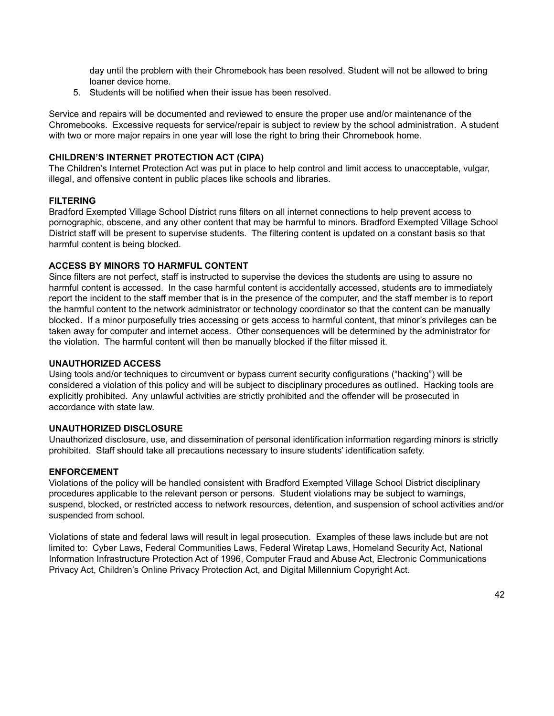day until the problem with their Chromebook has been resolved. Student will not be allowed to bring loaner device home.

5. Students will be notified when their issue has been resolved.

Service and repairs will be documented and reviewed to ensure the proper use and/or maintenance of the Chromebooks. Excessive requests for service/repair is subject to review by the school administration. A student with two or more major repairs in one year will lose the right to bring their Chromebook home.

# **CHILDREN'S INTERNET PROTECTION ACT (CIPA)**

The Children's Internet Protection Act was put in place to help control and limit access to unacceptable, vulgar, illegal, and offensive content in public places like schools and libraries.

# **FILTERING**

Bradford Exempted Village School District runs filters on all internet connections to help prevent access to pornographic, obscene, and any other content that may be harmful to minors. Bradford Exempted Village School District staff will be present to supervise students. The filtering content is updated on a constant basis so that harmful content is being blocked.

# **ACCESS BY MINORS TO HARMFUL CONTENT**

Since filters are not perfect, staff is instructed to supervise the devices the students are using to assure no harmful content is accessed. In the case harmful content is accidentally accessed, students are to immediately report the incident to the staff member that is in the presence of the computer, and the staff member is to report the harmful content to the network administrator or technology coordinator so that the content can be manually blocked. If a minor purposefully tries accessing or gets access to harmful content, that minor's privileges can be taken away for computer and internet access. Other consequences will be determined by the administrator for the violation. The harmful content will then be manually blocked if the filter missed it.

# **UNAUTHORIZED ACCESS**

Using tools and/or techniques to circumvent or bypass current security configurations ("hacking") will be considered a violation of this policy and will be subject to disciplinary procedures as outlined. Hacking tools are explicitly prohibited. Any unlawful activities are strictly prohibited and the offender will be prosecuted in accordance with state law.

# **UNAUTHORIZED DISCLOSURE**

Unauthorized disclosure, use, and dissemination of personal identification information regarding minors is strictly prohibited. Staff should take all precautions necessary to insure students' identification safety.

# **ENFORCEMENT**

Violations of the policy will be handled consistent with Bradford Exempted Village School District disciplinary procedures applicable to the relevant person or persons. Student violations may be subject to warnings, suspend, blocked, or restricted access to network resources, detention, and suspension of school activities and/or suspended from school.

Violations of state and federal laws will result in legal prosecution. Examples of these laws include but are not limited to: Cyber Laws, Federal Communities Laws, Federal Wiretap Laws, Homeland Security Act, National Information Infrastructure Protection Act of 1996, Computer Fraud and Abuse Act, Electronic Communications Privacy Act, Children's Online Privacy Protection Act, and Digital Millennium Copyright Act.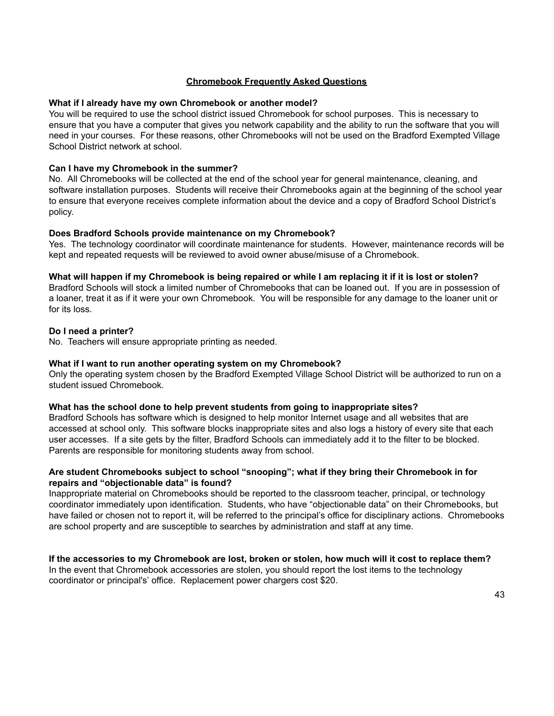### **Chromebook Frequently Asked Questions**

#### **What if I already have my own Chromebook or another model?**

You will be required to use the school district issued Chromebook for school purposes. This is necessary to ensure that you have a computer that gives you network capability and the ability to run the software that you will need in your courses. For these reasons, other Chromebooks will not be used on the Bradford Exempted Village School District network at school.

#### **Can I have my Chromebook in the summer?**

No. All Chromebooks will be collected at the end of the school year for general maintenance, cleaning, and software installation purposes. Students will receive their Chromebooks again at the beginning of the school year to ensure that everyone receives complete information about the device and a copy of Bradford School District's policy.

#### **Does Bradford Schools provide maintenance on my Chromebook?**

Yes. The technology coordinator will coordinate maintenance for students. However, maintenance records will be kept and repeated requests will be reviewed to avoid owner abuse/misuse of a Chromebook.

#### What will happen if my Chromebook is being repaired or while I am replacing it if it is lost or stolen?

Bradford Schools will stock a limited number of Chromebooks that can be loaned out. If you are in possession of a loaner, treat it as if it were your own Chromebook. You will be responsible for any damage to the loaner unit or for its loss.

#### **Do I need a printer?**

No. Teachers will ensure appropriate printing as needed.

#### **What if I want to run another operating system on my Chromebook?**

Only the operating system chosen by the Bradford Exempted Village School District will be authorized to run on a student issued Chromebook.

#### **What has the school done to help prevent students from going to inappropriate sites?**

Bradford Schools has software which is designed to help monitor Internet usage and all websites that are accessed at school only. This software blocks inappropriate sites and also logs a history of every site that each user accesses. If a site gets by the filter, Bradford Schools can immediately add it to the filter to be blocked. Parents are responsible for monitoring students away from school.

#### **Are student Chromebooks subject to school "snooping"; what if they bring their Chromebook in for repairs and "objectionable data" is found?**

Inappropriate material on Chromebooks should be reported to the classroom teacher, principal, or technology coordinator immediately upon identification. Students, who have "objectionable data" on their Chromebooks, but have failed or chosen not to report it, will be referred to the principal's office for disciplinary actions. Chromebooks are school property and are susceptible to searches by administration and staff at any time.

# If the accessories to my Chromebook are lost, broken or stolen, how much will it cost to replace them?

In the event that Chromebook accessories are stolen, you should report the lost items to the technology coordinator or principal's' office. Replacement power chargers cost \$20.